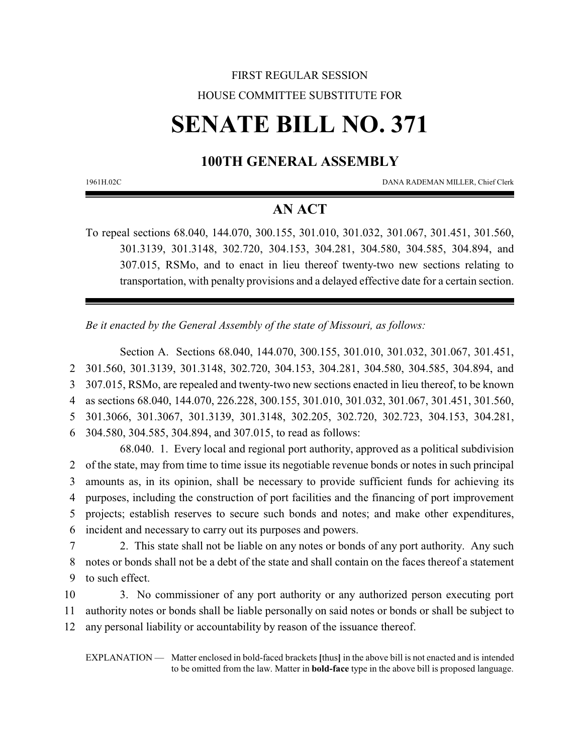## FIRST REGULAR SESSION HOUSE COMMITTEE SUBSTITUTE FOR

# **SENATE BILL NO. 371**

## **100TH GENERAL ASSEMBLY**

1961H.02C DANA RADEMAN MILLER, Chief Clerk

### **AN ACT**

To repeal sections 68.040, 144.070, 300.155, 301.010, 301.032, 301.067, 301.451, 301.560, 301.3139, 301.3148, 302.720, 304.153, 304.281, 304.580, 304.585, 304.894, and 307.015, RSMo, and to enact in lieu thereof twenty-two new sections relating to transportation, with penalty provisions and a delayed effective date for a certain section.

*Be it enacted by the General Assembly of the state of Missouri, as follows:*

Section A. Sections 68.040, 144.070, 300.155, 301.010, 301.032, 301.067, 301.451, 301.560, 301.3139, 301.3148, 302.720, 304.153, 304.281, 304.580, 304.585, 304.894, and 307.015, RSMo, are repealed and twenty-two new sections enacted in lieu thereof, to be known as sections 68.040, 144.070, 226.228, 300.155, 301.010, 301.032, 301.067, 301.451, 301.560, 301.3066, 301.3067, 301.3139, 301.3148, 302.205, 302.720, 302.723, 304.153, 304.281, 304.580, 304.585, 304.894, and 307.015, to read as follows:

68.040. 1. Every local and regional port authority, approved as a political subdivision of the state, may from time to time issue its negotiable revenue bonds or notes in such principal amounts as, in its opinion, shall be necessary to provide sufficient funds for achieving its purposes, including the construction of port facilities and the financing of port improvement projects; establish reserves to secure such bonds and notes; and make other expenditures, incident and necessary to carry out its purposes and powers.

- 7 2. This state shall not be liable on any notes or bonds of any port authority. Any such 8 notes or bonds shall not be a debt of the state and shall contain on the faces thereof a statement 9 to such effect.
- 10 3. No commissioner of any port authority or any authorized person executing port 11 authority notes or bonds shall be liable personally on said notes or bonds or shall be subject to 12 any personal liability or accountability by reason of the issuance thereof.

EXPLANATION — Matter enclosed in bold-faced brackets **[**thus**]** in the above bill is not enacted and is intended to be omitted from the law. Matter in **bold-face** type in the above bill is proposed language.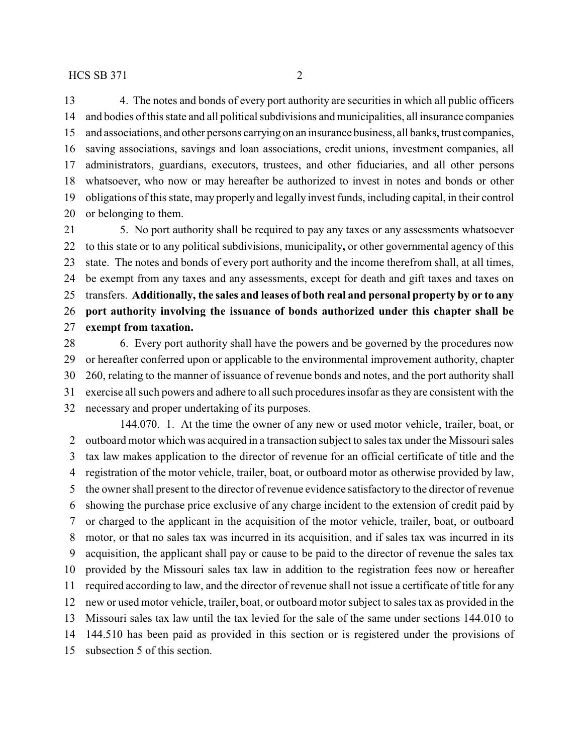4. The notes and bonds of every port authority are securities in which all public officers and bodies of this state and all political subdivisions and municipalities, all insurance companies and associations, and other persons carrying on an insurance business, all banks, trust companies, saving associations, savings and loan associations, credit unions, investment companies, all administrators, guardians, executors, trustees, and other fiduciaries, and all other persons whatsoever, who now or may hereafter be authorized to invest in notes and bonds or other obligations of this state, may properly and legally invest funds, including capital, in their control or belonging to them.

 5. No port authority shall be required to pay any taxes or any assessments whatsoever to this state or to any political subdivisions, municipality**,** or other governmental agency of this state. The notes and bonds of every port authority and the income therefrom shall, at all times, be exempt from any taxes and any assessments, except for death and gift taxes and taxes on transfers. **Additionally, the sales and leases of both real and personal property by or to any port authority involving the issuance of bonds authorized under this chapter shall be exempt from taxation.**

 6. Every port authority shall have the powers and be governed by the procedures now or hereafter conferred upon or applicable to the environmental improvement authority, chapter 260, relating to the manner of issuance of revenue bonds and notes, and the port authority shall exercise all such powers and adhere to all such procedures insofar as they are consistent with the necessary and proper undertaking of its purposes.

144.070. 1. At the time the owner of any new or used motor vehicle, trailer, boat, or outboard motor which was acquired in a transaction subject to sales tax under the Missouri sales tax law makes application to the director of revenue for an official certificate of title and the registration of the motor vehicle, trailer, boat, or outboard motor as otherwise provided by law, the owner shall present to the director of revenue evidence satisfactory to the director of revenue showing the purchase price exclusive of any charge incident to the extension of credit paid by or charged to the applicant in the acquisition of the motor vehicle, trailer, boat, or outboard motor, or that no sales tax was incurred in its acquisition, and if sales tax was incurred in its acquisition, the applicant shall pay or cause to be paid to the director of revenue the sales tax provided by the Missouri sales tax law in addition to the registration fees now or hereafter required according to law, and the director of revenue shall not issue a certificate of title for any new or used motor vehicle, trailer, boat, or outboard motor subject to sales tax as provided in the Missouri sales tax law until the tax levied for the sale of the same under sections 144.010 to 144.510 has been paid as provided in this section or is registered under the provisions of subsection 5 of this section.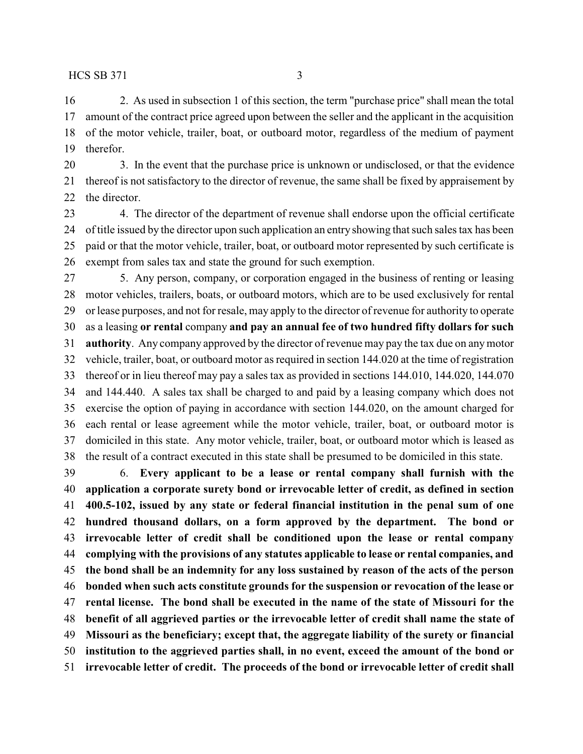2. As used in subsection 1 of this section, the term "purchase price" shall mean the total amount of the contract price agreed upon between the seller and the applicant in the acquisition of the motor vehicle, trailer, boat, or outboard motor, regardless of the medium of payment therefor.

 3. In the event that the purchase price is unknown or undisclosed, or that the evidence thereof is not satisfactory to the director of revenue, the same shall be fixed by appraisement by the director.

 4. The director of the department of revenue shall endorse upon the official certificate of title issued by the director upon such application an entry showing that such sales tax has been paid or that the motor vehicle, trailer, boat, or outboard motor represented by such certificate is exempt from sales tax and state the ground for such exemption.

 5. Any person, company, or corporation engaged in the business of renting or leasing motor vehicles, trailers, boats, or outboard motors, which are to be used exclusively for rental or lease purposes, and not for resale, may apply to the director of revenue for authority to operate as a leasing **or rental** company **and pay an annual fee of two hundred fifty dollars for such authority**. Any company approved by the director of revenue may pay the tax due on anymotor vehicle, trailer, boat, or outboard motor as required in section 144.020 at the time of registration thereof or in lieu thereof may pay a sales tax as provided in sections 144.010, 144.020, 144.070 and 144.440. A sales tax shall be charged to and paid by a leasing company which does not exercise the option of paying in accordance with section 144.020, on the amount charged for each rental or lease agreement while the motor vehicle, trailer, boat, or outboard motor is domiciled in this state. Any motor vehicle, trailer, boat, or outboard motor which is leased as the result of a contract executed in this state shall be presumed to be domiciled in this state.

 6. **Every applicant to be a lease or rental company shall furnish with the application a corporate surety bond or irrevocable letter of credit, as defined in section 400.5-102, issued by any state or federal financial institution in the penal sum of one hundred thousand dollars, on a form approved by the department. The bond or irrevocable letter of credit shall be conditioned upon the lease or rental company complying with the provisions of any statutes applicable to lease or rental companies, and the bond shall be an indemnity for any loss sustained by reason of the acts of the person bonded when such acts constitute grounds for the suspension or revocation of the lease or rental license. The bond shall be executed in the name of the state of Missouri for the benefit of all aggrieved parties or the irrevocable letter of credit shall name the state of Missouri as the beneficiary; except that, the aggregate liability of the surety or financial institution to the aggrieved parties shall, in no event, exceed the amount of the bond or irrevocable letter of credit. The proceeds of the bond or irrevocable letter of credit shall**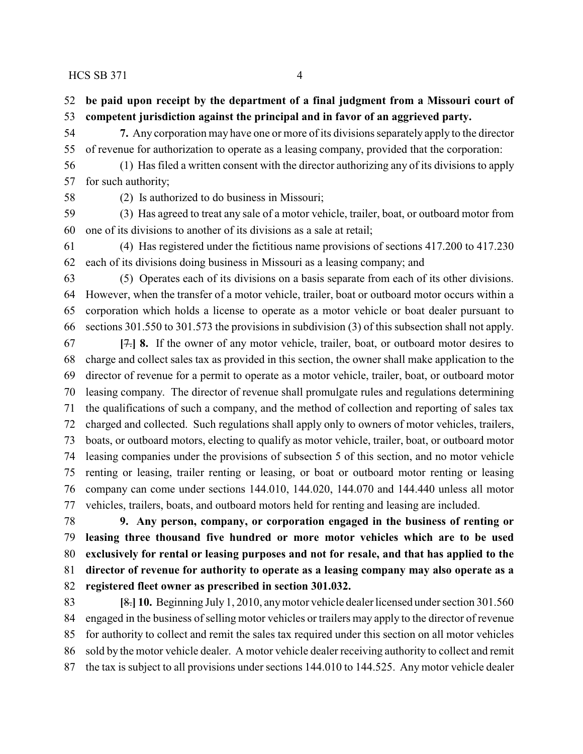**be paid upon receipt by the department of a final judgment from a Missouri court of competent jurisdiction against the principal and in favor of an aggrieved party.**

 **7.** Any corporation may have one or more of its divisions separately apply to the director of revenue for authorization to operate as a leasing company, provided that the corporation:

 (1) Has filed a written consent with the director authorizing any of its divisions to apply for such authority;

(2) Is authorized to do business in Missouri;

 (3) Has agreed to treat any sale of a motor vehicle, trailer, boat, or outboard motor from one of its divisions to another of its divisions as a sale at retail;

 (4) Has registered under the fictitious name provisions of sections 417.200 to 417.230 each of its divisions doing business in Missouri as a leasing company; and

 (5) Operates each of its divisions on a basis separate from each of its other divisions. However, when the transfer of a motor vehicle, trailer, boat or outboard motor occurs within a corporation which holds a license to operate as a motor vehicle or boat dealer pursuant to sections 301.550 to 301.573 the provisions in subdivision (3) of this subsection shall not apply.

 **[**7.**] 8.** If the owner of any motor vehicle, trailer, boat, or outboard motor desires to charge and collect sales tax as provided in this section, the owner shall make application to the director of revenue for a permit to operate as a motor vehicle, trailer, boat, or outboard motor leasing company. The director of revenue shall promulgate rules and regulations determining the qualifications of such a company, and the method of collection and reporting of sales tax charged and collected. Such regulations shall apply only to owners of motor vehicles, trailers, boats, or outboard motors, electing to qualify as motor vehicle, trailer, boat, or outboard motor leasing companies under the provisions of subsection 5 of this section, and no motor vehicle renting or leasing, trailer renting or leasing, or boat or outboard motor renting or leasing company can come under sections 144.010, 144.020, 144.070 and 144.440 unless all motor vehicles, trailers, boats, and outboard motors held for renting and leasing are included.

 **9. Any person, company, or corporation engaged in the business of renting or leasing three thousand five hundred or more motor vehicles which are to be used exclusively for rental or leasing purposes and not for resale, and that has applied to the director of revenue for authority to operate as a leasing company may also operate as a registered fleet owner as prescribed in section 301.032.**

 **[**8.**] 10.** Beginning July 1, 2010, anymotor vehicle dealer licensed under section 301.560 engaged in the business of selling motor vehicles or trailers may apply to the director of revenue for authority to collect and remit the sales tax required under this section on all motor vehicles sold by the motor vehicle dealer. A motor vehicle dealer receiving authority to collect and remit the tax is subject to all provisions under sections 144.010 to 144.525. Any motor vehicle dealer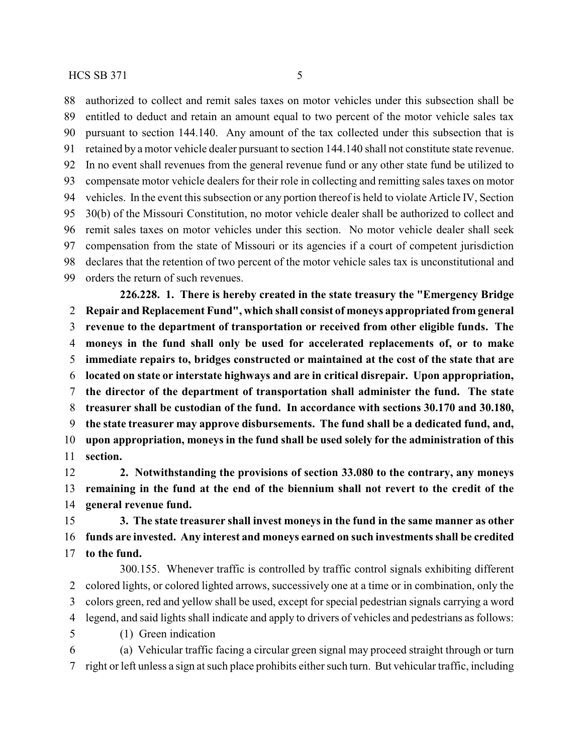authorized to collect and remit sales taxes on motor vehicles under this subsection shall be entitled to deduct and retain an amount equal to two percent of the motor vehicle sales tax pursuant to section 144.140. Any amount of the tax collected under this subsection that is retained by a motor vehicle dealer pursuant to section 144.140 shall not constitute state revenue. In no event shall revenues from the general revenue fund or any other state fund be utilized to compensate motor vehicle dealers for their role in collecting and remitting sales taxes on motor vehicles. In the event this subsection or any portion thereof is held to violate Article IV, Section 30(b) of the Missouri Constitution, no motor vehicle dealer shall be authorized to collect and remit sales taxes on motor vehicles under this section. No motor vehicle dealer shall seek compensation from the state of Missouri or its agencies if a court of competent jurisdiction declares that the retention of two percent of the motor vehicle sales tax is unconstitutional and orders the return of such revenues.

**226.228. 1. There is hereby created in the state treasury the "Emergency Bridge Repair and Replacement Fund", which shall consist of moneys appropriated from general revenue to the department of transportation or received from other eligible funds. The moneys in the fund shall only be used for accelerated replacements of, or to make immediate repairs to, bridges constructed or maintained at the cost of the state that are located on state or interstate highways and are in critical disrepair. Upon appropriation, the director of the department of transportation shall administer the fund. The state treasurer shall be custodian of the fund. In accordance with sections 30.170 and 30.180, the state treasurer may approve disbursements. The fund shall be a dedicated fund, and, upon appropriation, moneys in the fund shall be used solely for the administration of this section.**

 **2. Notwithstanding the provisions of section 33.080 to the contrary, any moneys remaining in the fund at the end of the biennium shall not revert to the credit of the general revenue fund.**

 **3. The state treasurer shall invest moneys in the fund in the same manner as other funds are invested. Any interest and moneys earned on such investments shall be credited to the fund.**

300.155. Whenever traffic is controlled by traffic control signals exhibiting different colored lights, or colored lighted arrows, successively one at a time or in combination, only the colors green, red and yellow shall be used, except for special pedestrian signals carrying a word legend, and said lights shall indicate and apply to drivers of vehicles and pedestrians as follows: (1) Green indication

 (a) Vehicular traffic facing a circular green signal may proceed straight through or turn right or left unless a sign at such place prohibits either such turn. But vehicular traffic, including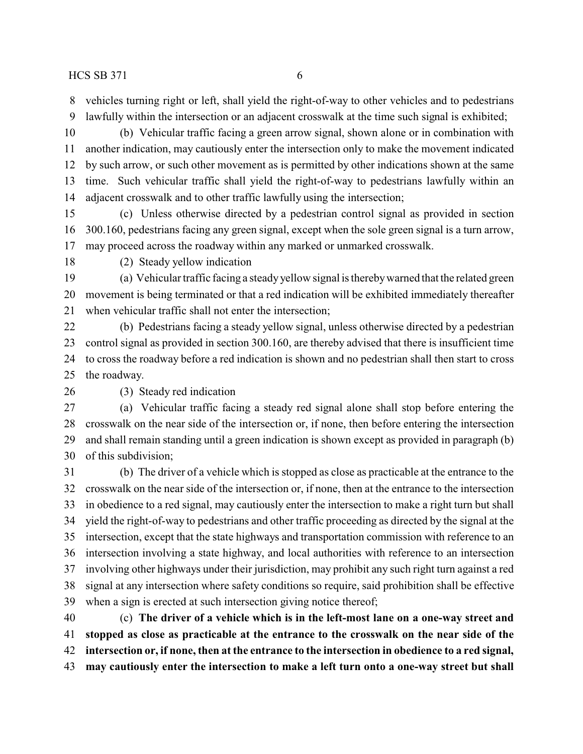vehicles turning right or left, shall yield the right-of-way to other vehicles and to pedestrians

lawfully within the intersection or an adjacent crosswalk at the time such signal is exhibited;

 (b) Vehicular traffic facing a green arrow signal, shown alone or in combination with another indication, may cautiously enter the intersection only to make the movement indicated by such arrow, or such other movement as is permitted by other indications shown at the same time. Such vehicular traffic shall yield the right-of-way to pedestrians lawfully within an adjacent crosswalk and to other traffic lawfully using the intersection;

 (c) Unless otherwise directed by a pedestrian control signal as provided in section 300.160, pedestrians facing any green signal, except when the sole green signal is a turn arrow, may proceed across the roadway within any marked or unmarked crosswalk.

(2) Steady yellow indication

 (a) Vehicular traffic facing a steady yellow signal is therebywarned that the related green movement is being terminated or that a red indication will be exhibited immediately thereafter when vehicular traffic shall not enter the intersection;

 (b) Pedestrians facing a steady yellow signal, unless otherwise directed by a pedestrian control signal as provided in section 300.160, are thereby advised that there is insufficient time to cross the roadway before a red indication is shown and no pedestrian shall then start to cross the roadway.

#### (3) Steady red indication

 (a) Vehicular traffic facing a steady red signal alone shall stop before entering the crosswalk on the near side of the intersection or, if none, then before entering the intersection and shall remain standing until a green indication is shown except as provided in paragraph (b) of this subdivision;

 (b) The driver of a vehicle which is stopped as close as practicable at the entrance to the crosswalk on the near side of the intersection or, if none, then at the entrance to the intersection in obedience to a red signal, may cautiously enter the intersection to make a right turn but shall yield the right-of-way to pedestrians and other traffic proceeding as directed by the signal at the intersection, except that the state highways and transportation commission with reference to an intersection involving a state highway, and local authorities with reference to an intersection involving other highways under their jurisdiction, may prohibit any such right turn against a red signal at any intersection where safety conditions so require, said prohibition shall be effective when a sign is erected at such intersection giving notice thereof;

 (c) **The driver of a vehicle which is in the left-most lane on a one-way street and stopped as close as practicable at the entrance to the crosswalk on the near side of the intersection or, if none, then at the entrance to the intersection in obedience to a red signal, may cautiously enter the intersection to make a left turn onto a one-way street but shall**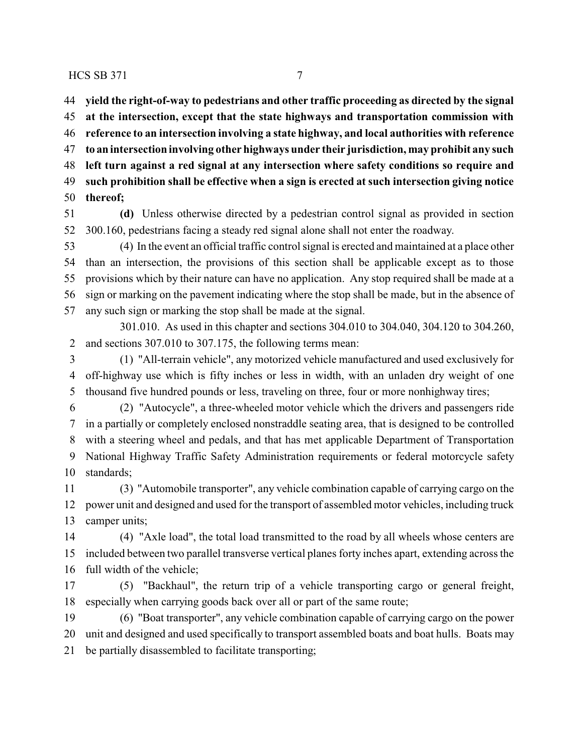**yield the right-of-way to pedestrians and other traffic proceeding as directed by the signal at the intersection, except that the state highways and transportation commission with reference to an intersection involving a state highway, and local authorities with reference to an intersection involving other highways under their jurisdiction, may prohibit any such left turn against a red signal at any intersection where safety conditions so require and such prohibition shall be effective when a sign is erected at such intersection giving notice thereof;**

 **(d)** Unless otherwise directed by a pedestrian control signal as provided in section 300.160, pedestrians facing a steady red signal alone shall not enter the roadway.

 (4) In the event an official traffic control signal is erected and maintained at a place other than an intersection, the provisions of this section shall be applicable except as to those provisions which by their nature can have no application. Any stop required shall be made at a sign or marking on the pavement indicating where the stop shall be made, but in the absence of any such sign or marking the stop shall be made at the signal.

301.010. As used in this chapter and sections 304.010 to 304.040, 304.120 to 304.260, and sections 307.010 to 307.175, the following terms mean:

 (1) "All-terrain vehicle", any motorized vehicle manufactured and used exclusively for off-highway use which is fifty inches or less in width, with an unladen dry weight of one thousand five hundred pounds or less, traveling on three, four or more nonhighway tires;

 (2) "Autocycle", a three-wheeled motor vehicle which the drivers and passengers ride in a partially or completely enclosed nonstraddle seating area, that is designed to be controlled with a steering wheel and pedals, and that has met applicable Department of Transportation National Highway Traffic Safety Administration requirements or federal motorcycle safety standards;

 (3) "Automobile transporter", any vehicle combination capable of carrying cargo on the power unit and designed and used for the transport of assembled motor vehicles, including truck camper units;

 (4) "Axle load", the total load transmitted to the road by all wheels whose centers are included between two parallel transverse vertical planes forty inches apart, extending across the full width of the vehicle;

 (5) "Backhaul", the return trip of a vehicle transporting cargo or general freight, especially when carrying goods back over all or part of the same route;

 (6) "Boat transporter", any vehicle combination capable of carrying cargo on the power unit and designed and used specifically to transport assembled boats and boat hulls. Boats may be partially disassembled to facilitate transporting;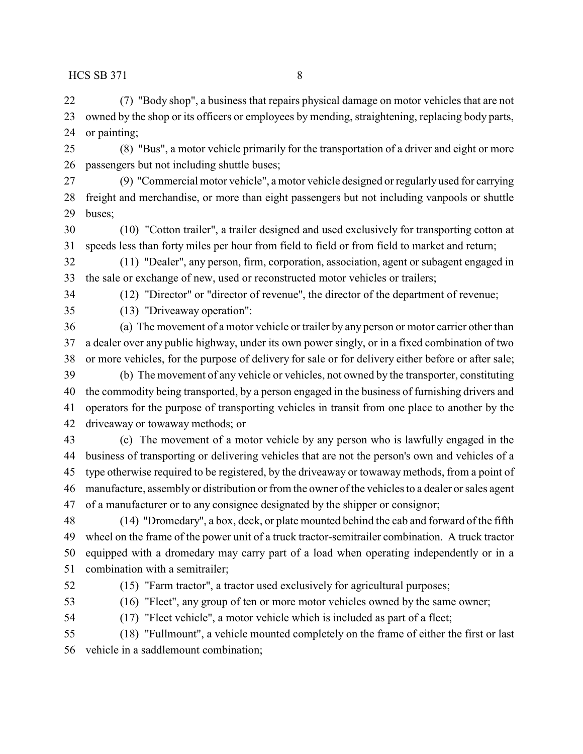(7) "Body shop", a business that repairs physical damage on motor vehicles that are not owned by the shop or its officers or employees by mending, straightening, replacing body parts, or painting;

 (8) "Bus", a motor vehicle primarily for the transportation of a driver and eight or more passengers but not including shuttle buses;

 (9) "Commercial motor vehicle", a motor vehicle designed or regularly used for carrying freight and merchandise, or more than eight passengers but not including vanpools or shuttle buses;

 (10) "Cotton trailer", a trailer designed and used exclusively for transporting cotton at speeds less than forty miles per hour from field to field or from field to market and return;

 (11) "Dealer", any person, firm, corporation, association, agent or subagent engaged in the sale or exchange of new, used or reconstructed motor vehicles or trailers;

(12) "Director" or "director of revenue", the director of the department of revenue;

(13) "Driveaway operation":

 (a) The movement of a motor vehicle or trailer by any person or motor carrier other than a dealer over any public highway, under its own power singly, or in a fixed combination of two or more vehicles, for the purpose of delivery for sale or for delivery either before or after sale; (b) The movement of any vehicle or vehicles, not owned by the transporter, constituting the commodity being transported, by a person engaged in the business of furnishing drivers and operators for the purpose of transporting vehicles in transit from one place to another by the

driveaway or towaway methods; or

 (c) The movement of a motor vehicle by any person who is lawfully engaged in the business of transporting or delivering vehicles that are not the person's own and vehicles of a type otherwise required to be registered, by the driveaway or towaway methods, from a point of manufacture, assembly or distribution or from the owner of the vehicles to a dealer or sales agent of a manufacturer or to any consignee designated by the shipper or consignor;

 (14) "Dromedary", a box, deck, or plate mounted behind the cab and forward of the fifth wheel on the frame of the power unit of a truck tractor-semitrailer combination. A truck tractor equipped with a dromedary may carry part of a load when operating independently or in a combination with a semitrailer;

(15) "Farm tractor", a tractor used exclusively for agricultural purposes;

(16) "Fleet", any group of ten or more motor vehicles owned by the same owner;

(17) "Fleet vehicle", a motor vehicle which is included as part of a fleet;

 (18) "Fullmount", a vehicle mounted completely on the frame of either the first or last vehicle in a saddlemount combination;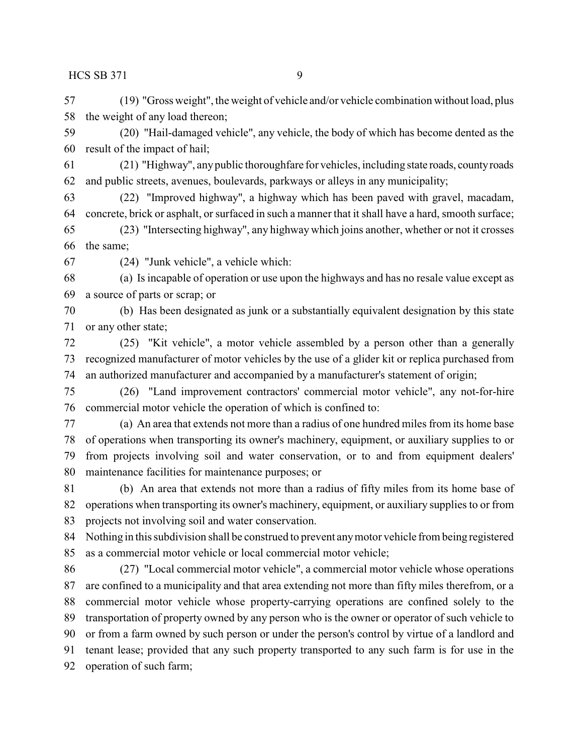(19) "Gross weight", the weight of vehicle and/or vehicle combination without load, plus the weight of any load thereon;

 (20) "Hail-damaged vehicle", any vehicle, the body of which has become dented as the result of the impact of hail;

 (21) "Highway", anypublic thoroughfare for vehicles, including state roads, countyroads and public streets, avenues, boulevards, parkways or alleys in any municipality;

 (22) "Improved highway", a highway which has been paved with gravel, macadam, concrete, brick or asphalt, or surfaced in such a manner that it shall have a hard, smooth surface;

 (23) "Intersecting highway", any highway which joins another, whether or not it crosses the same;

(24) "Junk vehicle", a vehicle which:

 (a) Is incapable of operation or use upon the highways and has no resale value except as a source of parts or scrap; or

 (b) Has been designated as junk or a substantially equivalent designation by this state or any other state;

 (25) "Kit vehicle", a motor vehicle assembled by a person other than a generally recognized manufacturer of motor vehicles by the use of a glider kit or replica purchased from an authorized manufacturer and accompanied by a manufacturer's statement of origin;

 (26) "Land improvement contractors' commercial motor vehicle", any not-for-hire commercial motor vehicle the operation of which is confined to:

 (a) An area that extends not more than a radius of one hundred miles from its home base of operations when transporting its owner's machinery, equipment, or auxiliary supplies to or from projects involving soil and water conservation, or to and from equipment dealers' maintenance facilities for maintenance purposes; or

 (b) An area that extends not more than a radius of fifty miles from its home base of operations when transporting its owner's machinery, equipment, or auxiliary supplies to or from projects not involving soil and water conservation.

 Nothing in this subdivision shall be construed to prevent anymotor vehicle from being registered as a commercial motor vehicle or local commercial motor vehicle;

 (27) "Local commercial motor vehicle", a commercial motor vehicle whose operations are confined to a municipality and that area extending not more than fifty miles therefrom, or a commercial motor vehicle whose property-carrying operations are confined solely to the transportation of property owned by any person who is the owner or operator of such vehicle to or from a farm owned by such person or under the person's control by virtue of a landlord and tenant lease; provided that any such property transported to any such farm is for use in the operation of such farm;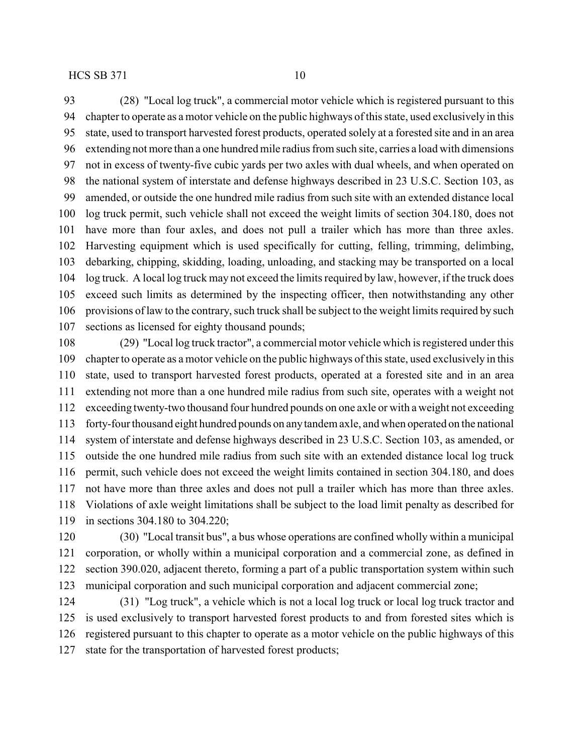(28) "Local log truck", a commercial motor vehicle which is registered pursuant to this chapter to operate as a motor vehicle on the public highways of this state, used exclusively in this state, used to transport harvested forest products, operated solely at a forested site and in an area extending not more than a one hundred mile radius from such site, carries a load with dimensions not in excess of twenty-five cubic yards per two axles with dual wheels, and when operated on the national system of interstate and defense highways described in 23 U.S.C. Section 103, as amended, or outside the one hundred mile radius from such site with an extended distance local log truck permit, such vehicle shall not exceed the weight limits of section 304.180, does not have more than four axles, and does not pull a trailer which has more than three axles. Harvesting equipment which is used specifically for cutting, felling, trimming, delimbing, debarking, chipping, skidding, loading, unloading, and stacking may be transported on a local log truck. A local log truck may not exceed the limits required by law, however, if the truck does exceed such limits as determined by the inspecting officer, then notwithstanding any other provisions of law to the contrary, such truck shall be subject to the weight limits required by such sections as licensed for eighty thousand pounds;

 (29) "Local log truck tractor", a commercial motor vehicle which is registered under this chapter to operate as a motor vehicle on the public highways of this state, used exclusively in this state, used to transport harvested forest products, operated at a forested site and in an area extending not more than a one hundred mile radius from such site, operates with a weight not exceeding twenty-two thousand four hundred pounds on one axle or with a weight not exceeding forty-four thousand eight hundred pounds on anytandem axle, and when operated on the national system of interstate and defense highways described in 23 U.S.C. Section 103, as amended, or outside the one hundred mile radius from such site with an extended distance local log truck permit, such vehicle does not exceed the weight limits contained in section 304.180, and does not have more than three axles and does not pull a trailer which has more than three axles. Violations of axle weight limitations shall be subject to the load limit penalty as described for in sections 304.180 to 304.220;

 (30) "Local transit bus", a bus whose operations are confined wholly within a municipal corporation, or wholly within a municipal corporation and a commercial zone, as defined in section 390.020, adjacent thereto, forming a part of a public transportation system within such municipal corporation and such municipal corporation and adjacent commercial zone;

 (31) "Log truck", a vehicle which is not a local log truck or local log truck tractor and is used exclusively to transport harvested forest products to and from forested sites which is registered pursuant to this chapter to operate as a motor vehicle on the public highways of this state for the transportation of harvested forest products;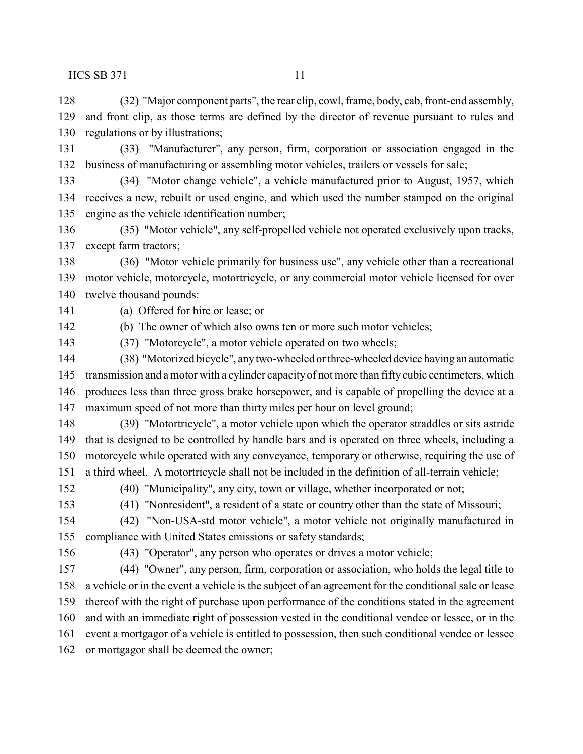(32) "Major component parts", the rear clip, cowl, frame, body, cab, front-end assembly, and front clip, as those terms are defined by the director of revenue pursuant to rules and regulations or by illustrations;

 (33) "Manufacturer", any person, firm, corporation or association engaged in the business of manufacturing or assembling motor vehicles, trailers or vessels for sale;

 (34) "Motor change vehicle", a vehicle manufactured prior to August, 1957, which receives a new, rebuilt or used engine, and which used the number stamped on the original engine as the vehicle identification number;

 (35) "Motor vehicle", any self-propelled vehicle not operated exclusively upon tracks, except farm tractors;

 (36) "Motor vehicle primarily for business use", any vehicle other than a recreational motor vehicle, motorcycle, motortricycle, or any commercial motor vehicle licensed for over twelve thousand pounds:

(a) Offered for hire or lease; or

(b) The owner of which also owns ten or more such motor vehicles;

(37) "Motorcycle", a motor vehicle operated on two wheels;

 (38) "Motorized bicycle", anytwo-wheeled or three-wheeled device having an automatic transmission and a motor with a cylinder capacityof not more than fifty cubic centimeters, which produces less than three gross brake horsepower, and is capable of propelling the device at a maximum speed of not more than thirty miles per hour on level ground;

 (39) "Motortricycle", a motor vehicle upon which the operator straddles or sits astride that is designed to be controlled by handle bars and is operated on three wheels, including a motorcycle while operated with any conveyance, temporary or otherwise, requiring the use of a third wheel. A motortricycle shall not be included in the definition of all-terrain vehicle;

(40) "Municipality", any city, town or village, whether incorporated or not;

(41) "Nonresident", a resident of a state or country other than the state of Missouri;

 (42) "Non-USA-std motor vehicle", a motor vehicle not originally manufactured in compliance with United States emissions or safety standards;

(43) "Operator", any person who operates or drives a motor vehicle;

 (44) "Owner", any person, firm, corporation or association, who holds the legal title to a vehicle or in the event a vehicle is the subject of an agreement for the conditional sale or lease thereof with the right of purchase upon performance of the conditions stated in the agreement and with an immediate right of possession vested in the conditional vendee or lessee, or in the event a mortgagor of a vehicle is entitled to possession, then such conditional vendee or lessee or mortgagor shall be deemed the owner;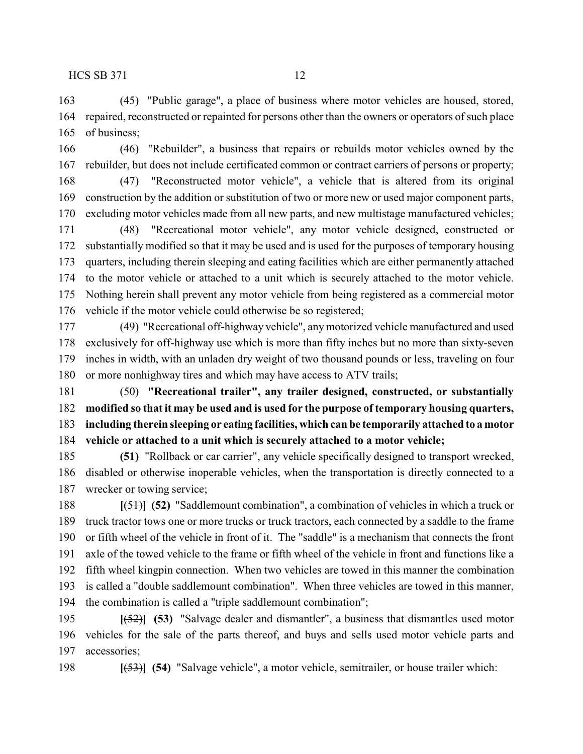(45) "Public garage", a place of business where motor vehicles are housed, stored, repaired, reconstructed or repainted for persons other than the owners or operators of such place of business;

 (46) "Rebuilder", a business that repairs or rebuilds motor vehicles owned by the rebuilder, but does not include certificated common or contract carriers of persons or property;

 (47) "Reconstructed motor vehicle", a vehicle that is altered from its original construction by the addition or substitution of two or more new or used major component parts, excluding motor vehicles made from all new parts, and new multistage manufactured vehicles;

 (48) "Recreational motor vehicle", any motor vehicle designed, constructed or substantially modified so that it may be used and is used for the purposes of temporary housing quarters, including therein sleeping and eating facilities which are either permanently attached to the motor vehicle or attached to a unit which is securely attached to the motor vehicle. Nothing herein shall prevent any motor vehicle from being registered as a commercial motor vehicle if the motor vehicle could otherwise be so registered;

 (49) "Recreational off-highway vehicle", any motorized vehicle manufactured and used exclusively for off-highway use which is more than fifty inches but no more than sixty-seven inches in width, with an unladen dry weight of two thousand pounds or less, traveling on four or more nonhighway tires and which may have access to ATV trails;

 (50) **"Recreational trailer", any trailer designed, constructed, or substantially modified so that it may be used and is used for the purpose of temporary housing quarters, including therein sleeping or eating facilities, which can be temporarily attached to a motor vehicle or attached to a unit which is securely attached to a motor vehicle;**

 **(51)** "Rollback or car carrier", any vehicle specifically designed to transport wrecked, disabled or otherwise inoperable vehicles, when the transportation is directly connected to a wrecker or towing service;

 **[**(51)**] (52)** "Saddlemount combination", a combination of vehicles in which a truck or truck tractor tows one or more trucks or truck tractors, each connected by a saddle to the frame or fifth wheel of the vehicle in front of it. The "saddle" is a mechanism that connects the front axle of the towed vehicle to the frame or fifth wheel of the vehicle in front and functions like a fifth wheel kingpin connection. When two vehicles are towed in this manner the combination is called a "double saddlemount combination". When three vehicles are towed in this manner, the combination is called a "triple saddlemount combination";

 **[**(52)**] (53)** "Salvage dealer and dismantler", a business that dismantles used motor vehicles for the sale of the parts thereof, and buys and sells used motor vehicle parts and accessories;

**[**(53)**] (54)** "Salvage vehicle", a motor vehicle, semitrailer, or house trailer which: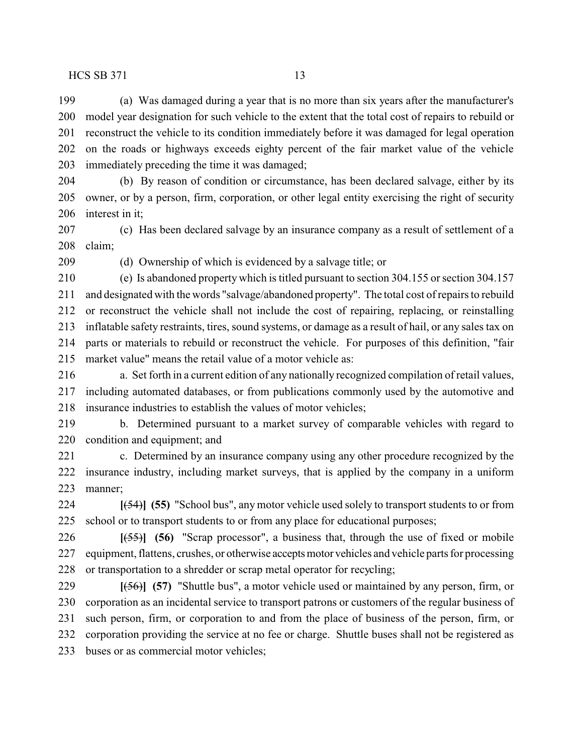(a) Was damaged during a year that is no more than six years after the manufacturer's model year designation for such vehicle to the extent that the total cost of repairs to rebuild or reconstruct the vehicle to its condition immediately before it was damaged for legal operation on the roads or highways exceeds eighty percent of the fair market value of the vehicle immediately preceding the time it was damaged;

 (b) By reason of condition or circumstance, has been declared salvage, either by its owner, or by a person, firm, corporation, or other legal entity exercising the right of security interest in it;

 (c) Has been declared salvage by an insurance company as a result of settlement of a claim;

(d) Ownership of which is evidenced by a salvage title; or

 (e) Is abandoned property which is titled pursuant to section 304.155 or section 304.157 and designated with the words "salvage/abandoned property". The total cost of repairs to rebuild or reconstruct the vehicle shall not include the cost of repairing, replacing, or reinstalling inflatable safety restraints, tires, sound systems, or damage as a result of hail, or any sales tax on parts or materials to rebuild or reconstruct the vehicle. For purposes of this definition, "fair market value" means the retail value of a motor vehicle as:

 a. Set forth in a current edition of any nationally recognized compilation of retail values, including automated databases, or from publications commonly used by the automotive and insurance industries to establish the values of motor vehicles;

 b. Determined pursuant to a market survey of comparable vehicles with regard to condition and equipment; and

 c. Determined by an insurance company using any other procedure recognized by the insurance industry, including market surveys, that is applied by the company in a uniform manner;

 **[**(54)**] (55)** "School bus", any motor vehicle used solely to transport students to or from school or to transport students to or from any place for educational purposes;

 **[**(55)**] (56)** "Scrap processor", a business that, through the use of fixed or mobile equipment, flattens, crushes, or otherwise acceptsmotor vehicles and vehicle parts for processing or transportation to a shredder or scrap metal operator for recycling;

 **[**(56)**] (57)** "Shuttle bus", a motor vehicle used or maintained by any person, firm, or corporation as an incidental service to transport patrons or customers of the regular business of such person, firm, or corporation to and from the place of business of the person, firm, or corporation providing the service at no fee or charge. Shuttle buses shall not be registered as buses or as commercial motor vehicles;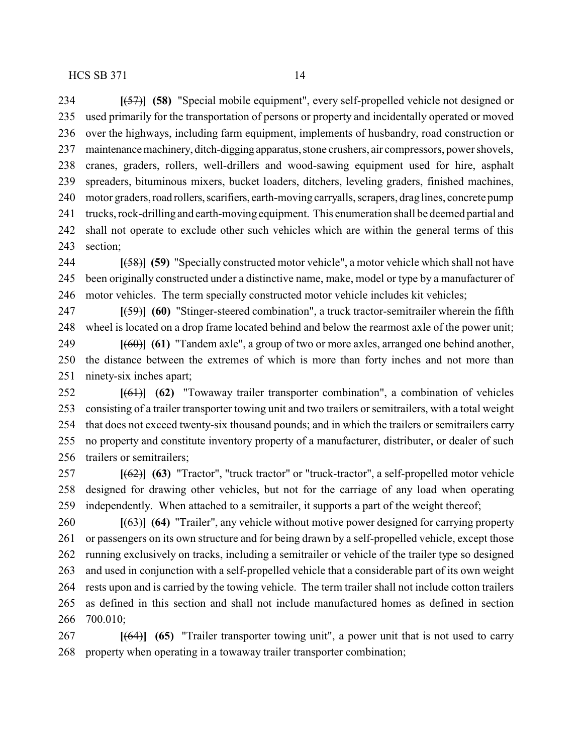used primarily for the transportation of persons or property and incidentally operated or moved over the highways, including farm equipment, implements of husbandry, road construction or 237 maintenance machinery, ditch-digging apparatus, stone crushers, air compressors, power shovels, cranes, graders, rollers, well-drillers and wood-sawing equipment used for hire, asphalt spreaders, bituminous mixers, bucket loaders, ditchers, leveling graders, finished machines, 240 motor graders, road rollers, scarifiers, earth-moving carryalls, scrapers, drag lines, concrete pump trucks, rock-drilling and earth-moving equipment. This enumeration shall be deemed partial and shall not operate to exclude other such vehicles which are within the general terms of this section;

 **[**(58)**] (59)** "Specially constructed motor vehicle", a motor vehicle which shall not have been originally constructed under a distinctive name, make, model or type by a manufacturer of motor vehicles. The term specially constructed motor vehicle includes kit vehicles;

 **[**(59)**] (60)** "Stinger-steered combination", a truck tractor-semitrailer wherein the fifth wheel is located on a drop frame located behind and below the rearmost axle of the power unit;

 **[**(60)**] (61)** "Tandem axle", a group of two or more axles, arranged one behind another, the distance between the extremes of which is more than forty inches and not more than ninety-six inches apart;

 **[**(61)**] (62)** "Towaway trailer transporter combination", a combination of vehicles consisting of a trailer transporter towing unit and two trailers or semitrailers, with a total weight that does not exceed twenty-six thousand pounds; and in which the trailers or semitrailers carry no property and constitute inventory property of a manufacturer, distributer, or dealer of such trailers or semitrailers;

 **[**(62)**] (63)** "Tractor", "truck tractor" or "truck-tractor", a self-propelled motor vehicle designed for drawing other vehicles, but not for the carriage of any load when operating independently. When attached to a semitrailer, it supports a part of the weight thereof;

 **[**(63)**] (64)** "Trailer", any vehicle without motive power designed for carrying property or passengers on its own structure and for being drawn by a self-propelled vehicle, except those running exclusively on tracks, including a semitrailer or vehicle of the trailer type so designed and used in conjunction with a self-propelled vehicle that a considerable part of its own weight rests upon and is carried by the towing vehicle. The term trailer shall not include cotton trailers as defined in this section and shall not include manufactured homes as defined in section 700.010;

 **[**(64)**] (65)** "Trailer transporter towing unit", a power unit that is not used to carry property when operating in a towaway trailer transporter combination;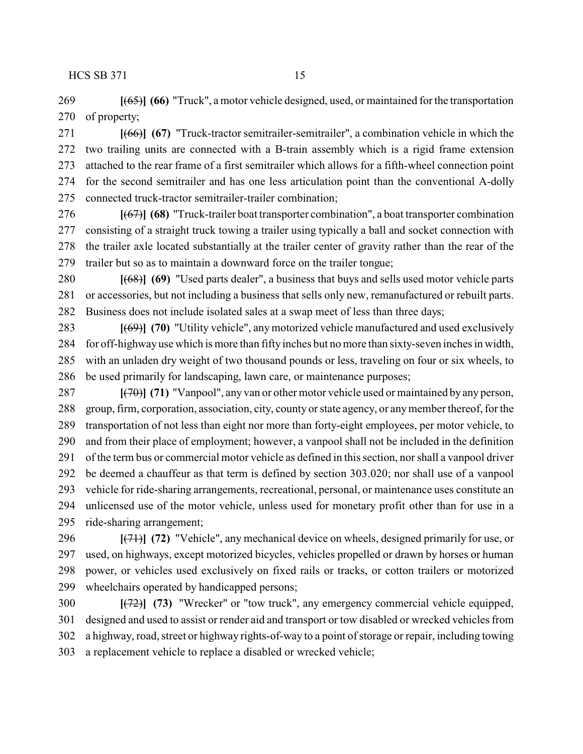**[**(65)**] (66)** "Truck", a motor vehicle designed, used, or maintained for the transportation of property;

 **[**(66)**] (67)** "Truck-tractor semitrailer-semitrailer", a combination vehicle in which the two trailing units are connected with a B-train assembly which is a rigid frame extension attached to the rear frame of a first semitrailer which allows for a fifth-wheel connection point for the second semitrailer and has one less articulation point than the conventional A-dolly connected truck-tractor semitrailer-trailer combination;

 **[**(67)**] (68)** "Truck-trailer boat transporter combination", a boat transporter combination consisting of a straight truck towing a trailer using typically a ball and socket connection with the trailer axle located substantially at the trailer center of gravity rather than the rear of the trailer but so as to maintain a downward force on the trailer tongue;

 **[**(68)**] (69)** "Used parts dealer", a business that buys and sells used motor vehicle parts or accessories, but not including a business that sells only new, remanufactured or rebuilt parts. Business does not include isolated sales at a swap meet of less than three days;

 **[**(69)**] (70)** "Utility vehicle", any motorized vehicle manufactured and used exclusively for off-highwayuse which is more than fifty inches but no more than sixty-seven inches in width, with an unladen dry weight of two thousand pounds or less, traveling on four or six wheels, to be used primarily for landscaping, lawn care, or maintenance purposes;

 **[**(70)**] (71)** "Vanpool", any van or other motor vehicle used or maintained by any person, group, firm, corporation, association, city, county or state agency, or anymember thereof, for the transportation of not less than eight nor more than forty-eight employees, per motor vehicle, to and from their place of employment; however, a vanpool shall not be included in the definition of the term bus or commercial motor vehicle as defined in this section, nor shall a vanpool driver be deemed a chauffeur as that term is defined by section 303.020; nor shall use of a vanpool vehicle for ride-sharing arrangements, recreational, personal, or maintenance uses constitute an unlicensed use of the motor vehicle, unless used for monetary profit other than for use in a ride-sharing arrangement;

 **[**(71)**] (72)** "Vehicle", any mechanical device on wheels, designed primarily for use, or used, on highways, except motorized bicycles, vehicles propelled or drawn by horses or human power, or vehicles used exclusively on fixed rails or tracks, or cotton trailers or motorized wheelchairs operated by handicapped persons;

 **[**(72)**] (73)** "Wrecker" or "tow truck", any emergency commercial vehicle equipped, designed and used to assist or render aid and transport or tow disabled or wrecked vehicles from a highway, road, street or highway rights-of-way to a point of storage or repair, including towing a replacement vehicle to replace a disabled or wrecked vehicle;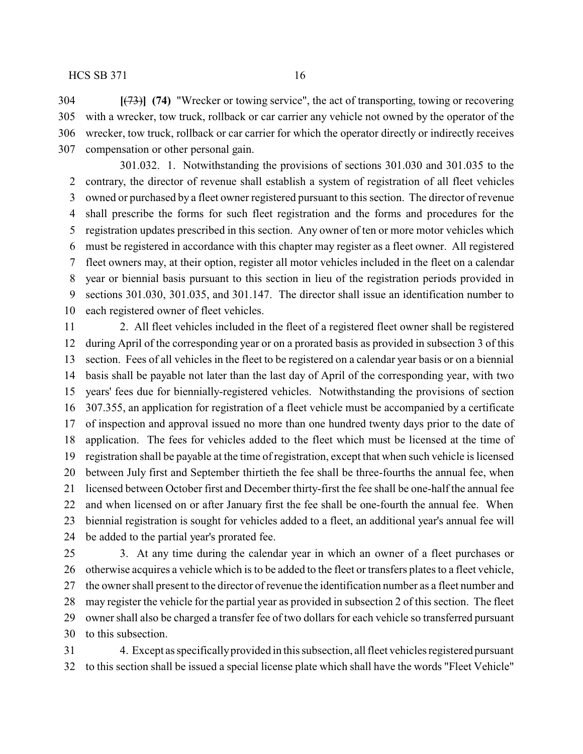**[**(73)**] (74)** "Wrecker or towing service", the act of transporting, towing or recovering with a wrecker, tow truck, rollback or car carrier any vehicle not owned by the operator of the wrecker, tow truck, rollback or car carrier for which the operator directly or indirectly receives compensation or other personal gain.

301.032. 1. Notwithstanding the provisions of sections 301.030 and 301.035 to the contrary, the director of revenue shall establish a system of registration of all fleet vehicles owned or purchased by a fleet owner registered pursuant to this section. The director of revenue shall prescribe the forms for such fleet registration and the forms and procedures for the registration updates prescribed in this section. Any owner of ten or more motor vehicles which must be registered in accordance with this chapter may register as a fleet owner. All registered fleet owners may, at their option, register all motor vehicles included in the fleet on a calendar year or biennial basis pursuant to this section in lieu of the registration periods provided in sections 301.030, 301.035, and 301.147. The director shall issue an identification number to each registered owner of fleet vehicles.

 2. All fleet vehicles included in the fleet of a registered fleet owner shall be registered during April of the corresponding year or on a prorated basis as provided in subsection 3 of this section. Fees of all vehicles in the fleet to be registered on a calendar year basis or on a biennial basis shall be payable not later than the last day of April of the corresponding year, with two years' fees due for biennially-registered vehicles. Notwithstanding the provisions of section 307.355, an application for registration of a fleet vehicle must be accompanied by a certificate of inspection and approval issued no more than one hundred twenty days prior to the date of application. The fees for vehicles added to the fleet which must be licensed at the time of registration shall be payable at the time of registration, except that when such vehicle is licensed between July first and September thirtieth the fee shall be three-fourths the annual fee, when licensed between October first and December thirty-first the fee shall be one-half the annual fee and when licensed on or after January first the fee shall be one-fourth the annual fee. When biennial registration is sought for vehicles added to a fleet, an additional year's annual fee will be added to the partial year's prorated fee.

 3. At any time during the calendar year in which an owner of a fleet purchases or otherwise acquires a vehicle which is to be added to the fleet or transfers plates to a fleet vehicle, the owner shall present to the director of revenue the identification number as a fleet number and may register the vehicle for the partial year as provided in subsection 2 of this section. The fleet owner shall also be charged a transfer fee of two dollars for each vehicle so transferred pursuant to this subsection.

 4. Except as specificallyprovided in this subsection, all fleet vehicles registered pursuant to this section shall be issued a special license plate which shall have the words "Fleet Vehicle"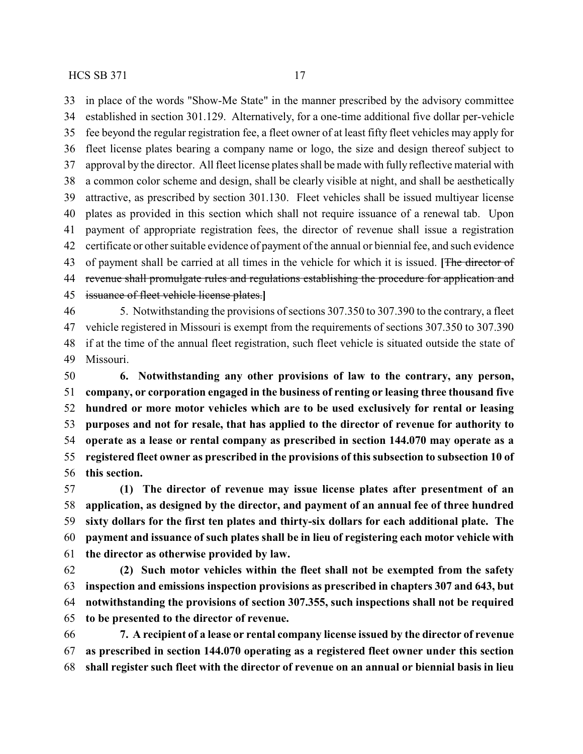in place of the words "Show-Me State" in the manner prescribed by the advisory committee established in section 301.129. Alternatively, for a one-time additional five dollar per-vehicle fee beyond the regular registration fee, a fleet owner of at least fifty fleet vehicles may apply for fleet license plates bearing a company name or logo, the size and design thereof subject to approval by the director. All fleet license plates shall be made with fully reflective material with a common color scheme and design, shall be clearly visible at night, and shall be aesthetically attractive, as prescribed by section 301.130. Fleet vehicles shall be issued multiyear license plates as provided in this section which shall not require issuance of a renewal tab. Upon payment of appropriate registration fees, the director of revenue shall issue a registration certificate or other suitable evidence of payment of the annual or biennial fee, and such evidence of payment shall be carried at all times in the vehicle for which it is issued. **[**The director of 44 revenue shall promulgate rules and regulations establishing the procedure for application and issuance of fleet vehicle license plates.**]**

 5. Notwithstanding the provisions of sections 307.350 to 307.390 to the contrary, a fleet vehicle registered in Missouri is exempt from the requirements of sections 307.350 to 307.390 if at the time of the annual fleet registration, such fleet vehicle is situated outside the state of Missouri.

 **6. Notwithstanding any other provisions of law to the contrary, any person, company, or corporation engaged in the business of renting or leasing three thousand five hundred or more motor vehicles which are to be used exclusively for rental or leasing purposes and not for resale, that has applied to the director of revenue for authority to operate as a lease or rental company as prescribed in section 144.070 may operate as a registered fleet owner as prescribed in the provisions of this subsection to subsection 10 of this section.**

 **(1) The director of revenue may issue license plates after presentment of an application, as designed by the director, and payment of an annual fee of three hundred sixty dollars for the first ten plates and thirty-six dollars for each additional plate. The payment and issuance of such plates shall be in lieu of registering each motor vehicle with the director as otherwise provided by law.**

 **(2) Such motor vehicles within the fleet shall not be exempted from the safety inspection and emissions inspection provisions as prescribed in chapters 307 and 643, but notwithstanding the provisions of section 307.355, such inspections shall not be required to be presented to the director of revenue.**

 **7. A recipient of a lease or rental company license issued by the director of revenue as prescribed in section 144.070 operating as a registered fleet owner under this section shall register such fleet with the director of revenue on an annual or biennial basis in lieu**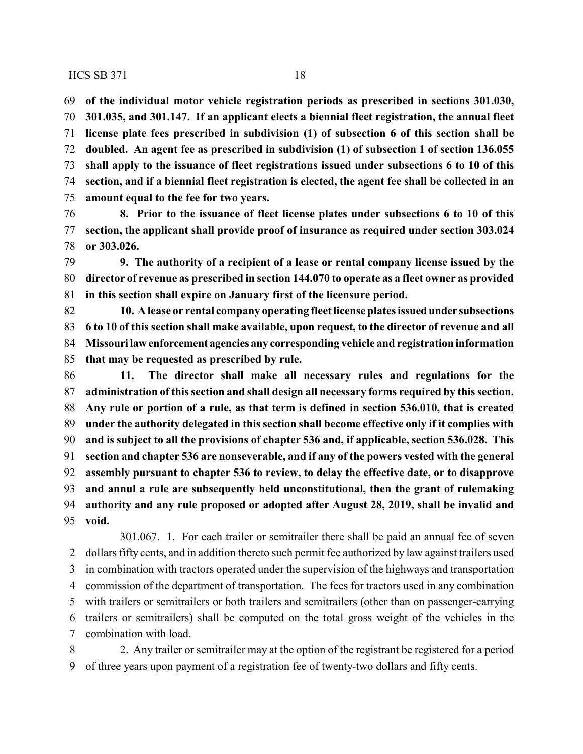**of the individual motor vehicle registration periods as prescribed in sections 301.030, 301.035, and 301.147. If an applicant elects a biennial fleet registration, the annual fleet license plate fees prescribed in subdivision (1) of subsection 6 of this section shall be doubled. An agent fee as prescribed in subdivision (1) of subsection 1 of section 136.055 shall apply to the issuance of fleet registrations issued under subsections 6 to 10 of this section, and if a biennial fleet registration is elected, the agent fee shall be collected in an amount equal to the fee for two years.**

 **8. Prior to the issuance of fleet license plates under subsections 6 to 10 of this section, the applicant shall provide proof of insurance as required under section 303.024 or 303.026.**

 **9. The authority of a recipient of a lease or rental company license issued by the director of revenue as prescribed in section 144.070 to operate as a fleet owner as provided in this section shall expire on January first of the licensure period.**

 **10. A lease or rental company operating fleet license plates issuedunder subsections 6 to 10 of this section shall make available, upon request, to the director of revenue and all Missouri law enforcement agencies any corresponding vehicle and registration information that may be requested as prescribed by rule.**

 **11. The director shall make all necessary rules and regulations for the administration of this section and shall design all necessary forms required by this section. Any rule or portion of a rule, as that term is defined in section 536.010, that is created under the authority delegated in this section shall become effective only if it complies with and is subject to all the provisions of chapter 536 and, if applicable, section 536.028. This section and chapter 536 are nonseverable, and if any of the powers vested with the general assembly pursuant to chapter 536 to review, to delay the effective date, or to disapprove and annul a rule are subsequently held unconstitutional, then the grant of rulemaking authority and any rule proposed or adopted after August 28, 2019, shall be invalid and void.**

301.067. 1. For each trailer or semitrailer there shall be paid an annual fee of seven dollars fifty cents, and in addition thereto such permit fee authorized by law against trailers used in combination with tractors operated under the supervision of the highways and transportation commission of the department of transportation. The fees for tractors used in any combination with trailers or semitrailers or both trailers and semitrailers (other than on passenger-carrying trailers or semitrailers) shall be computed on the total gross weight of the vehicles in the combination with load.

 2. Any trailer or semitrailer may at the option of the registrant be registered for a period of three years upon payment of a registration fee of twenty-two dollars and fifty cents.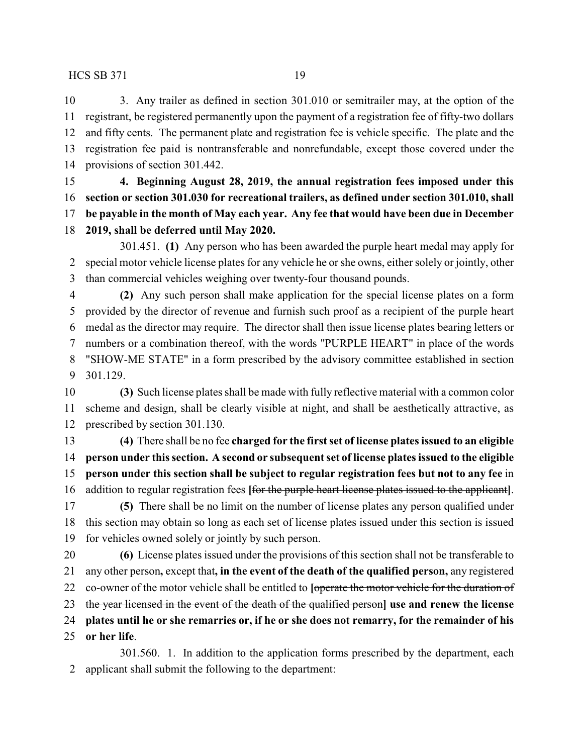3. Any trailer as defined in section 301.010 or semitrailer may, at the option of the registrant, be registered permanently upon the payment of a registration fee of fifty-two dollars and fifty cents. The permanent plate and registration fee is vehicle specific. The plate and the registration fee paid is nontransferable and nonrefundable, except those covered under the provisions of section 301.442.

 **4. Beginning August 28, 2019, the annual registration fees imposed under this section or section 301.030 for recreational trailers, as defined under section 301.010, shall be payable in the month of May each year. Any fee that would have been due in December**

**2019, shall be deferred until May 2020.**

301.451. **(1)** Any person who has been awarded the purple heart medal may apply for special motor vehicle license plates for any vehicle he orshe owns, either solely or jointly, other than commercial vehicles weighing over twenty-four thousand pounds.

 **(2)** Any such person shall make application for the special license plates on a form provided by the director of revenue and furnish such proof as a recipient of the purple heart medal as the director may require. The director shall then issue license plates bearing letters or numbers or a combination thereof, with the words "PURPLE HEART" in place of the words "SHOW-ME STATE" in a form prescribed by the advisory committee established in section 301.129.

 **(3)** Such license plates shall be made with fully reflective material with a common color scheme and design, shall be clearly visible at night, and shall be aesthetically attractive, as prescribed by section 301.130.

 **(4)** There shall be no fee **charged for the first set of license plates issued to an eligible person under this section. A second or subsequent set of license plates issued to the eligible person under this section shall be subject to regular registration fees but not to any fee** in addition to regular registration fees **[**for the purple heart license plates issued to the applicant**]**.

 **(5)** There shall be no limit on the number of license plates any person qualified under this section may obtain so long as each set of license plates issued under this section is issued for vehicles owned solely or jointly by such person.

 **(6)** License plates issued under the provisions of this section shall not be transferable to any other person**,** except that**, in the event of the death of the qualified person,** any registered co-owner of the motor vehicle shall be entitled to **[**operate the motor vehicle for the duration of the year licensed in the event of the death of the qualified person**] use and renew the license plates until he or she remarries or, if he or she does not remarry, for the remainder of his or her life**.

301.560. 1. In addition to the application forms prescribed by the department, each applicant shall submit the following to the department: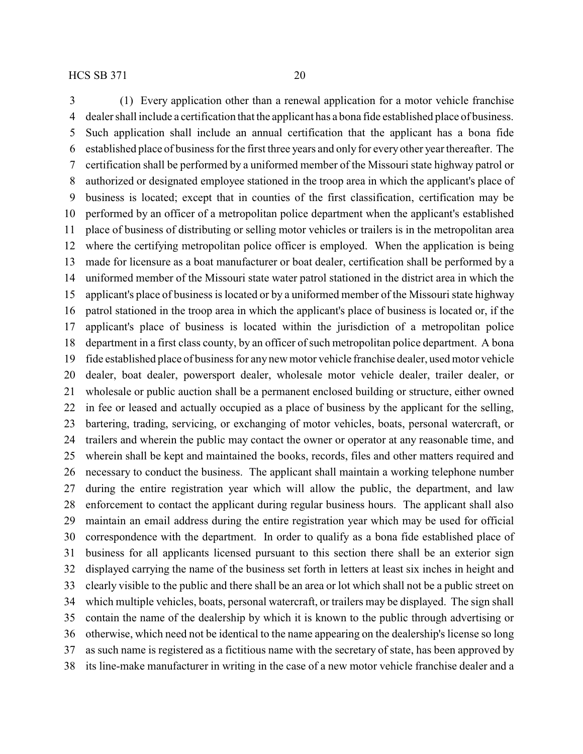(1) Every application other than a renewal application for a motor vehicle franchise dealer shall include a certification that the applicant has a bona fide established place of business. Such application shall include an annual certification that the applicant has a bona fide established place of business for the first three years and only for everyother year thereafter. The certification shall be performed by a uniformed member of the Missouri state highway patrol or authorized or designated employee stationed in the troop area in which the applicant's place of business is located; except that in counties of the first classification, certification may be performed by an officer of a metropolitan police department when the applicant's established place of business of distributing or selling motor vehicles or trailers is in the metropolitan area where the certifying metropolitan police officer is employed. When the application is being made for licensure as a boat manufacturer or boat dealer, certification shall be performed by a uniformed member of the Missouri state water patrol stationed in the district area in which the applicant's place of business is located or by a uniformed member of the Missouri state highway patrol stationed in the troop area in which the applicant's place of business is located or, if the applicant's place of business is located within the jurisdiction of a metropolitan police department in a first class county, by an officer of such metropolitan police department. A bona fide established place of business for any new motor vehicle franchise dealer, used motor vehicle dealer, boat dealer, powersport dealer, wholesale motor vehicle dealer, trailer dealer, or wholesale or public auction shall be a permanent enclosed building or structure, either owned in fee or leased and actually occupied as a place of business by the applicant for the selling, bartering, trading, servicing, or exchanging of motor vehicles, boats, personal watercraft, or trailers and wherein the public may contact the owner or operator at any reasonable time, and wherein shall be kept and maintained the books, records, files and other matters required and necessary to conduct the business. The applicant shall maintain a working telephone number during the entire registration year which will allow the public, the department, and law enforcement to contact the applicant during regular business hours. The applicant shall also maintain an email address during the entire registration year which may be used for official correspondence with the department. In order to qualify as a bona fide established place of business for all applicants licensed pursuant to this section there shall be an exterior sign displayed carrying the name of the business set forth in letters at least six inches in height and clearly visible to the public and there shall be an area or lot which shall not be a public street on which multiple vehicles, boats, personal watercraft, or trailers may be displayed. The sign shall contain the name of the dealership by which it is known to the public through advertising or otherwise, which need not be identical to the name appearing on the dealership's license so long as such name is registered as a fictitious name with the secretary of state, has been approved by its line-make manufacturer in writing in the case of a new motor vehicle franchise dealer and a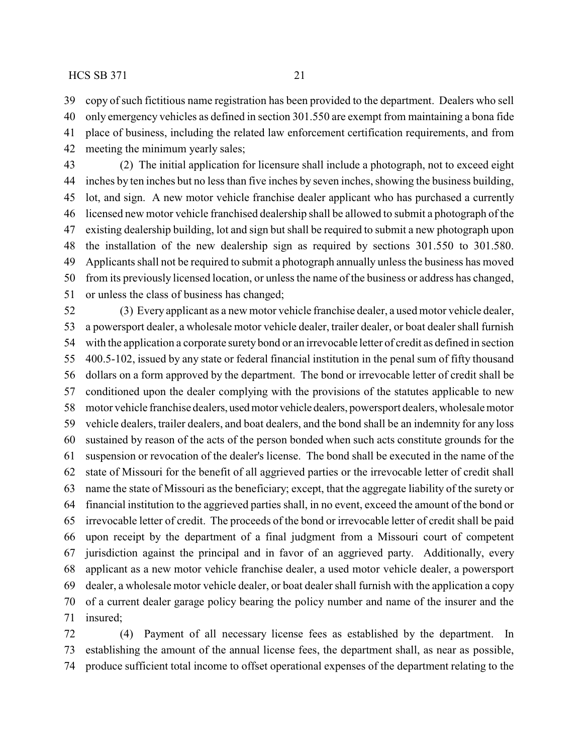copy of such fictitious name registration has been provided to the department. Dealers who sell

 only emergency vehicles as defined in section 301.550 are exempt from maintaining a bona fide place of business, including the related law enforcement certification requirements, and from meeting the minimum yearly sales;

 (2) The initial application for licensure shall include a photograph, not to exceed eight inches by ten inches but no less than five inches by seven inches, showing the business building, lot, and sign. A new motor vehicle franchise dealer applicant who has purchased a currently licensed new motor vehicle franchised dealership shall be allowed to submit a photograph of the existing dealership building, lot and sign but shall be required to submit a new photograph upon the installation of the new dealership sign as required by sections 301.550 to 301.580. Applicants shall not be required to submit a photograph annually unless the business has moved from its previously licensed location, or unless the name of the business or address has changed, or unless the class of business has changed;

 (3) Every applicant as a new motor vehicle franchise dealer, a used motor vehicle dealer, a powersport dealer, a wholesale motor vehicle dealer, trailer dealer, or boat dealer shall furnish with the application a corporate surety bond or an irrevocable letter of credit as defined in section 400.5-102, issued by any state or federal financial institution in the penal sum of fifty thousand dollars on a form approved by the department. The bond or irrevocable letter of credit shall be conditioned upon the dealer complying with the provisions of the statutes applicable to new motor vehicle franchise dealers, usedmotor vehicle dealers, powersport dealers, wholesale motor vehicle dealers, trailer dealers, and boat dealers, and the bond shall be an indemnity for any loss sustained by reason of the acts of the person bonded when such acts constitute grounds for the suspension or revocation of the dealer's license. The bond shall be executed in the name of the state of Missouri for the benefit of all aggrieved parties or the irrevocable letter of credit shall name the state of Missouri as the beneficiary; except, that the aggregate liability of the surety or financial institution to the aggrieved parties shall, in no event, exceed the amount of the bond or irrevocable letter of credit. The proceeds of the bond or irrevocable letter of credit shall be paid upon receipt by the department of a final judgment from a Missouri court of competent jurisdiction against the principal and in favor of an aggrieved party. Additionally, every applicant as a new motor vehicle franchise dealer, a used motor vehicle dealer, a powersport dealer, a wholesale motor vehicle dealer, or boat dealer shall furnish with the application a copy of a current dealer garage policy bearing the policy number and name of the insurer and the insured;

 (4) Payment of all necessary license fees as established by the department. In establishing the amount of the annual license fees, the department shall, as near as possible, produce sufficient total income to offset operational expenses of the department relating to the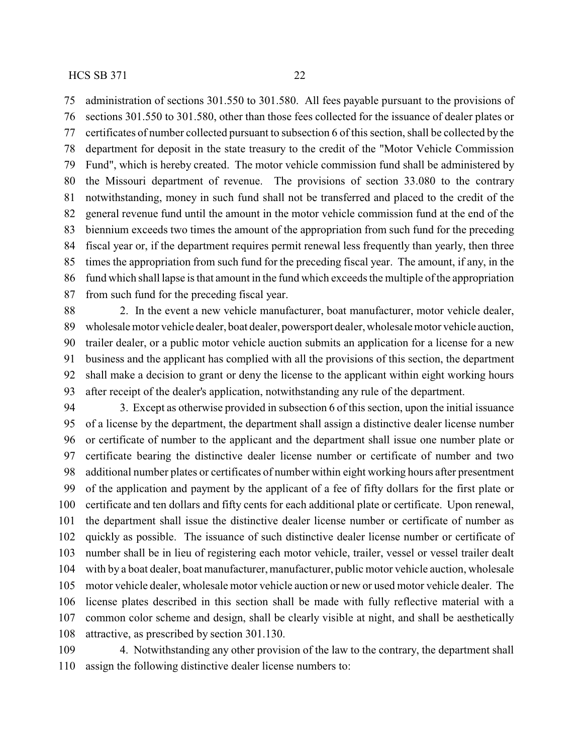administration of sections 301.550 to 301.580. All fees payable pursuant to the provisions of

 sections 301.550 to 301.580, other than those fees collected for the issuance of dealer plates or certificates of number collected pursuant to subsection 6 of this section, shall be collected by the

 department for deposit in the state treasury to the credit of the "Motor Vehicle Commission Fund", which is hereby created. The motor vehicle commission fund shall be administered by the Missouri department of revenue. The provisions of section 33.080 to the contrary notwithstanding, money in such fund shall not be transferred and placed to the credit of the general revenue fund until the amount in the motor vehicle commission fund at the end of the biennium exceeds two times the amount of the appropriation from such fund for the preceding fiscal year or, if the department requires permit renewal less frequently than yearly, then three times the appropriation from such fund for the preceding fiscal year. The amount, if any, in the fund which shall lapse is that amount in the fund which exceeds the multiple of the appropriation from such fund for the preceding fiscal year.

 2. In the event a new vehicle manufacturer, boat manufacturer, motor vehicle dealer, wholesale motor vehicle dealer, boat dealer, powersport dealer, wholesale motor vehicle auction, trailer dealer, or a public motor vehicle auction submits an application for a license for a new business and the applicant has complied with all the provisions of this section, the department shall make a decision to grant or deny the license to the applicant within eight working hours after receipt of the dealer's application, notwithstanding any rule of the department.

 3. Except as otherwise provided in subsection 6 of this section, upon the initial issuance of a license by the department, the department shall assign a distinctive dealer license number or certificate of number to the applicant and the department shall issue one number plate or certificate bearing the distinctive dealer license number or certificate of number and two additional number plates or certificates of number within eight working hours after presentment of the application and payment by the applicant of a fee of fifty dollars for the first plate or certificate and ten dollars and fifty cents for each additional plate or certificate. Upon renewal, the department shall issue the distinctive dealer license number or certificate of number as quickly as possible. The issuance of such distinctive dealer license number or certificate of number shall be in lieu of registering each motor vehicle, trailer, vessel or vessel trailer dealt with by a boat dealer, boat manufacturer, manufacturer, public motor vehicle auction, wholesale motor vehicle dealer, wholesale motor vehicle auction or new or used motor vehicle dealer. The license plates described in this section shall be made with fully reflective material with a common color scheme and design, shall be clearly visible at night, and shall be aesthetically attractive, as prescribed by section 301.130.

 4. Notwithstanding any other provision of the law to the contrary, the department shall assign the following distinctive dealer license numbers to: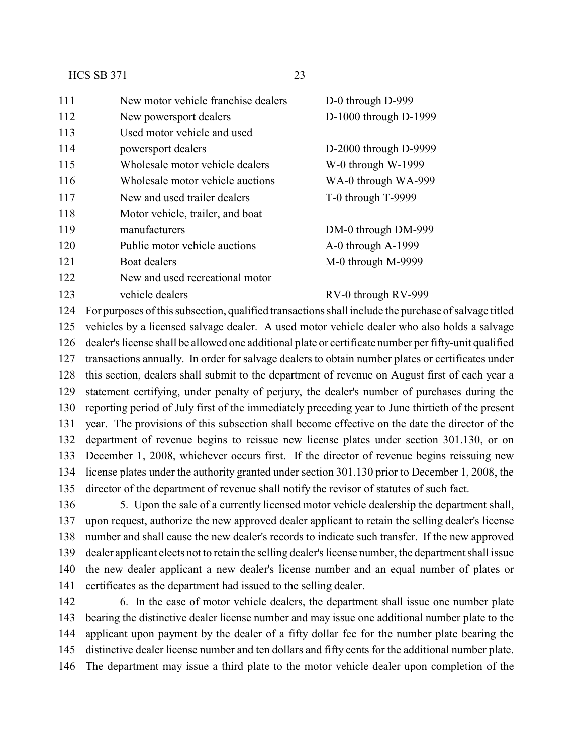| 111 | New motor vehicle franchise dealers | D-0 through D-999     |
|-----|-------------------------------------|-----------------------|
| 112 | New powersport dealers              | D-1000 through D-1999 |
| 113 | Used motor vehicle and used         |                       |
| 114 | powersport dealers                  | D-2000 through D-9999 |
| 115 | Wholesale motor vehicle dealers     | W-0 through W-1999    |
| 116 | Wholesale motor vehicle auctions    | WA-0 through WA-999   |
| 117 | New and used trailer dealers        | T-0 through T-9999    |
| 118 | Motor vehicle, trailer, and boat    |                       |
| 119 | manufacturers                       | DM-0 through DM-999   |
| 120 | Public motor vehicle auctions       | A-0 through A-1999    |
| 121 | Boat dealers                        | M-0 through M-9999    |
| 122 | New and used recreational motor     |                       |
| 123 | vehicle dealers                     | RV-0 through RV-999   |

 For purposes of this subsection, qualified transactions shall include the purchase of salvage titled vehicles by a licensed salvage dealer. A used motor vehicle dealer who also holds a salvage dealer's license shall be allowed one additional plate or certificate number per fifty-unit qualified transactions annually. In order for salvage dealers to obtain number plates or certificates under this section, dealers shall submit to the department of revenue on August first of each year a statement certifying, under penalty of perjury, the dealer's number of purchases during the reporting period of July first of the immediately preceding year to June thirtieth of the present year. The provisions of this subsection shall become effective on the date the director of the department of revenue begins to reissue new license plates under section 301.130, or on December 1, 2008, whichever occurs first. If the director of revenue begins reissuing new license plates under the authority granted under section 301.130 prior to December 1, 2008, the director of the department of revenue shall notify the revisor of statutes of such fact.

 5. Upon the sale of a currently licensed motor vehicle dealership the department shall, upon request, authorize the new approved dealer applicant to retain the selling dealer's license number and shall cause the new dealer's records to indicate such transfer. If the new approved dealer applicant elects not to retain the selling dealer's license number, the department shall issue the new dealer applicant a new dealer's license number and an equal number of plates or certificates as the department had issued to the selling dealer.

 6. In the case of motor vehicle dealers, the department shall issue one number plate bearing the distinctive dealer license number and may issue one additional number plate to the applicant upon payment by the dealer of a fifty dollar fee for the number plate bearing the distinctive dealer license number and ten dollars and fifty cents for the additional number plate. The department may issue a third plate to the motor vehicle dealer upon completion of the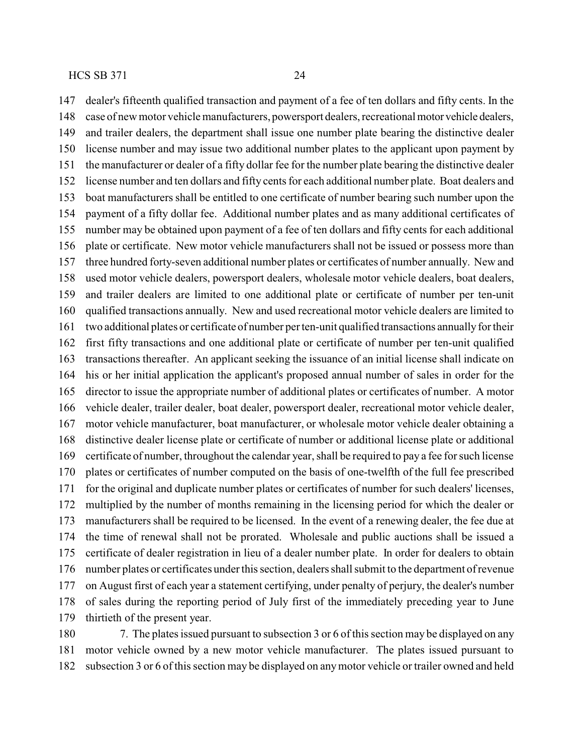dealer's fifteenth qualified transaction and payment of a fee of ten dollars and fifty cents. In the case of new motor vehicle manufacturers, powersport dealers, recreational motor vehicle dealers, and trailer dealers, the department shall issue one number plate bearing the distinctive dealer license number and may issue two additional number plates to the applicant upon payment by the manufacturer or dealer of a fifty dollar fee for the number plate bearing the distinctive dealer license number and ten dollars and fifty cents for each additional number plate. Boat dealers and boat manufacturers shall be entitled to one certificate of number bearing such number upon the payment of a fifty dollar fee. Additional number plates and as many additional certificates of number may be obtained upon payment of a fee of ten dollars and fifty cents for each additional plate or certificate. New motor vehicle manufacturers shall not be issued or possess more than three hundred forty-seven additional number plates or certificates of number annually. New and used motor vehicle dealers, powersport dealers, wholesale motor vehicle dealers, boat dealers, and trailer dealers are limited to one additional plate or certificate of number per ten-unit qualified transactions annually. New and used recreational motor vehicle dealers are limited to two additional plates or certificate of number per ten-unit qualified transactions annuallyfor their first fifty transactions and one additional plate or certificate of number per ten-unit qualified transactions thereafter. An applicant seeking the issuance of an initial license shall indicate on his or her initial application the applicant's proposed annual number of sales in order for the director to issue the appropriate number of additional plates or certificates of number. A motor vehicle dealer, trailer dealer, boat dealer, powersport dealer, recreational motor vehicle dealer, motor vehicle manufacturer, boat manufacturer, or wholesale motor vehicle dealer obtaining a distinctive dealer license plate or certificate of number or additional license plate or additional certificate of number, throughout the calendar year, shall be required to pay a fee for such license plates or certificates of number computed on the basis of one-twelfth of the full fee prescribed for the original and duplicate number plates or certificates of number for such dealers' licenses, multiplied by the number of months remaining in the licensing period for which the dealer or manufacturers shall be required to be licensed. In the event of a renewing dealer, the fee due at the time of renewal shall not be prorated. Wholesale and public auctions shall be issued a certificate of dealer registration in lieu of a dealer number plate. In order for dealers to obtain number plates or certificates under this section, dealers shall submit to the department of revenue on August first of each year a statement certifying, under penalty of perjury, the dealer's number of sales during the reporting period of July first of the immediately preceding year to June thirtieth of the present year.

 7. The plates issued pursuant to subsection 3 or 6 of this section may be displayed on any motor vehicle owned by a new motor vehicle manufacturer. The plates issued pursuant to subsection 3 or 6 of this section may be displayed on anymotor vehicle or trailer owned and held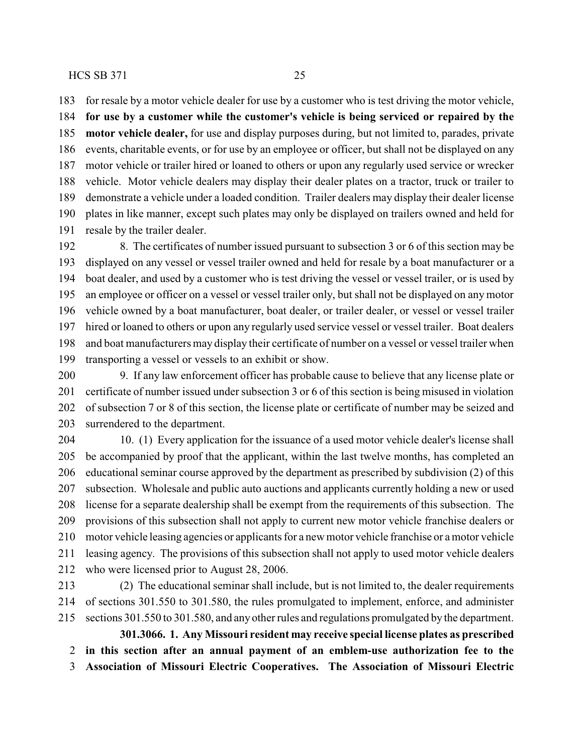for resale by a motor vehicle dealer for use by a customer who is test driving the motor vehicle,

 **for use by a customer while the customer's vehicle is being serviced or repaired by the motor vehicle dealer,** for use and display purposes during, but not limited to, parades, private events, charitable events, or for use by an employee or officer, but shall not be displayed on any motor vehicle or trailer hired or loaned to others or upon any regularly used service or wrecker vehicle. Motor vehicle dealers may display their dealer plates on a tractor, truck or trailer to demonstrate a vehicle under a loaded condition. Trailer dealers may display their dealer license plates in like manner, except such plates may only be displayed on trailers owned and held for resale by the trailer dealer.

192 8. The certificates of number issued pursuant to subsection 3 or 6 of this section may be displayed on any vessel or vessel trailer owned and held for resale by a boat manufacturer or a boat dealer, and used by a customer who is test driving the vessel or vessel trailer, or is used by an employee or officer on a vessel or vessel trailer only, but shall not be displayed on any motor vehicle owned by a boat manufacturer, boat dealer, or trailer dealer, or vessel or vessel trailer hired or loaned to others or upon any regularly used service vessel or vessel trailer. Boat dealers and boat manufacturers may display their certificate of number on a vessel or vessel trailer when transporting a vessel or vessels to an exhibit or show.

 9. If any law enforcement officer has probable cause to believe that any license plate or certificate of number issued under subsection 3 or 6 of this section is being misused in violation of subsection 7 or 8 of this section, the license plate or certificate of number may be seized and surrendered to the department.

204 10. (1) Every application for the issuance of a used motor vehicle dealer's license shall be accompanied by proof that the applicant, within the last twelve months, has completed an educational seminar course approved by the department as prescribed by subdivision (2) of this subsection. Wholesale and public auto auctions and applicants currently holding a new or used license for a separate dealership shall be exempt from the requirements of this subsection. The provisions of this subsection shall not apply to current new motor vehicle franchise dealers or motor vehicle leasing agencies or applicants for a new motor vehicle franchise or a motor vehicle leasing agency. The provisions of this subsection shall not apply to used motor vehicle dealers who were licensed prior to August 28, 2006.

 (2) The educational seminar shall include, but is not limited to, the dealer requirements of sections 301.550 to 301.580, the rules promulgated to implement, enforce, and administer sections 301.550 to 301.580, and any other rules and regulations promulgated by the department.

**301.3066. 1. Any Missouri resident may receive special license plates as prescribed in this section after an annual payment of an emblem-use authorization fee to the**

**Association of Missouri Electric Cooperatives. The Association of Missouri Electric**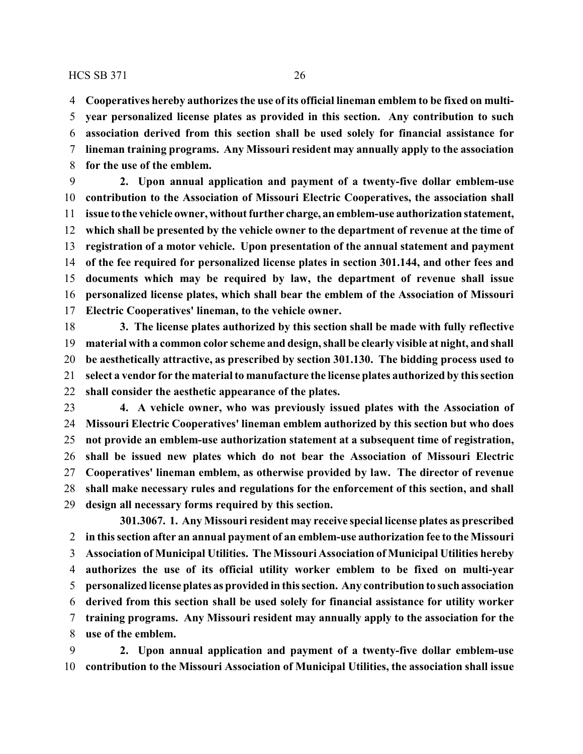**Cooperatives hereby authorizes the use of its official lineman emblem to be fixed on multi-**

 **year personalized license plates as provided in this section. Any contribution to such association derived from this section shall be used solely for financial assistance for lineman training programs. Any Missouri resident may annually apply to the association**

**for the use of the emblem.**

 **2. Upon annual application and payment of a twenty-five dollar emblem-use contribution to the Association of Missouri Electric Cooperatives, the association shall issue to the vehicle owner, without further charge, an emblem-use authorization statement, which shall be presented by the vehicle owner to the department of revenue at the time of registration of a motor vehicle. Upon presentation of the annual statement and payment of the fee required for personalized license plates in section 301.144, and other fees and documents which may be required by law, the department of revenue shall issue personalized license plates, which shall bear the emblem of the Association of Missouri Electric Cooperatives' lineman, to the vehicle owner.**

 **3. The license plates authorized by this section shall be made with fully reflective material with a common color scheme and design, shall be clearly visible at night, and shall be aesthetically attractive, as prescribed by section 301.130. The bidding process used to select a vendor for the material to manufacture the license plates authorized by this section shall consider the aesthetic appearance of the plates.**

 **4. A vehicle owner, who was previously issued plates with the Association of Missouri Electric Cooperatives' lineman emblem authorized by this section but who does not provide an emblem-use authorization statement at a subsequent time of registration, shall be issued new plates which do not bear the Association of Missouri Electric Cooperatives' lineman emblem, as otherwise provided by law. The director of revenue shall make necessary rules and regulations for the enforcement of this section, and shall design all necessary forms required by this section.**

**301.3067. 1. Any Missouri resident may receive special license plates as prescribed in this section after an annual payment of an emblem-use authorization fee to the Missouri Association of Municipal Utilities. The Missouri Association of Municipal Utilities hereby authorizes the use of its official utility worker emblem to be fixed on multi-year personalized license plates as provided in this section. Any contribution to such association derived from this section shall be used solely for financial assistance for utility worker training programs. Any Missouri resident may annually apply to the association for the use of the emblem.**

 **2. Upon annual application and payment of a twenty-five dollar emblem-use contribution to the Missouri Association of Municipal Utilities, the association shall issue**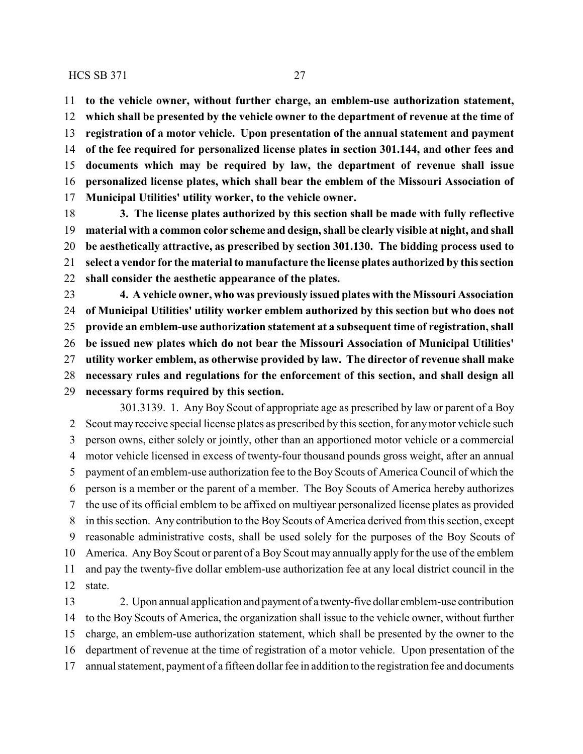**to the vehicle owner, without further charge, an emblem-use authorization statement, which shall be presented by the vehicle owner to the department of revenue at the time of registration of a motor vehicle. Upon presentation of the annual statement and payment of the fee required for personalized license plates in section 301.144, and other fees and documents which may be required by law, the department of revenue shall issue personalized license plates, which shall bear the emblem of the Missouri Association of Municipal Utilities' utility worker, to the vehicle owner.**

 **3. The license plates authorized by this section shall be made with fully reflective material with a common color scheme and design, shall be clearly visible at night, and shall be aesthetically attractive, as prescribed by section 301.130. The bidding process used to select a vendor for the material to manufacture the license plates authorized by this section shall consider the aesthetic appearance of the plates.**

 **4. A vehicle owner, who was previously issued plates with the Missouri Association of Municipal Utilities' utility worker emblem authorized by this section but who does not provide an emblem-use authorization statement at a subsequent time of registration, shall be issued new plates which do not bear the Missouri Association of Municipal Utilities' utility worker emblem, as otherwise provided by law. The director of revenue shall make necessary rules and regulations for the enforcement of this section, and shall design all**

**necessary forms required by this section.**

301.3139. 1. Any Boy Scout of appropriate age as prescribed by law or parent of a Boy Scout may receive special license plates as prescribed by this section, for anymotor vehicle such person owns, either solely or jointly, other than an apportioned motor vehicle or a commercial motor vehicle licensed in excess of twenty-four thousand pounds gross weight, after an annual payment of an emblem-use authorization fee to the Boy Scouts of America Council of which the person is a member or the parent of a member. The Boy Scouts of America hereby authorizes the use of its official emblem to be affixed on multiyear personalized license plates as provided in this section. Any contribution to the Boy Scouts of America derived from this section, except reasonable administrative costs, shall be used solely for the purposes of the Boy Scouts of America. AnyBoy Scout or parent of a Boy Scout may annually apply for the use of the emblem and pay the twenty-five dollar emblem-use authorization fee at any local district council in the state.

 2. Upon annual application and payment of a twenty-five dollar emblem-use contribution to the Boy Scouts of America, the organization shall issue to the vehicle owner, without further charge, an emblem-use authorization statement, which shall be presented by the owner to the department of revenue at the time of registration of a motor vehicle. Upon presentation of the annual statement, payment of a fifteen dollar fee in addition to the registration fee and documents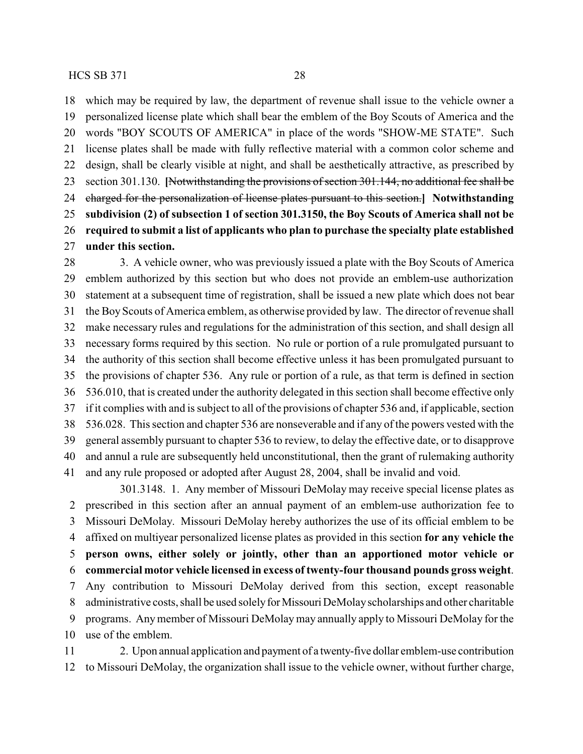which may be required by law, the department of revenue shall issue to the vehicle owner a personalized license plate which shall bear the emblem of the Boy Scouts of America and the words "BOY SCOUTS OF AMERICA" in place of the words "SHOW-ME STATE". Such license plates shall be made with fully reflective material with a common color scheme and design, shall be clearly visible at night, and shall be aesthetically attractive, as prescribed by section 301.130. **[**Notwithstanding the provisions of section 301.144, no additional fee shall be charged for the personalization of license plates pursuant to this section.**] Notwithstanding subdivision (2) of subsection 1 of section 301.3150, the Boy Scouts of America shall not be required to submit a list of applicants who plan to purchase the specialty plate established under this section.**

 3. A vehicle owner, who was previously issued a plate with the Boy Scouts of America emblem authorized by this section but who does not provide an emblem-use authorization statement at a subsequent time of registration, shall be issued a new plate which does not bear the Boy Scouts of America emblem, as otherwise provided by law. The director of revenue shall make necessary rules and regulations for the administration of this section, and shall design all necessary forms required by this section. No rule or portion of a rule promulgated pursuant to the authority of this section shall become effective unless it has been promulgated pursuant to the provisions of chapter 536. Any rule or portion of a rule, as that term is defined in section 536.010, that is created under the authority delegated in this section shall become effective only if it complies with and is subject to all of the provisions of chapter 536 and, if applicable, section 536.028. This section and chapter 536 are nonseverable and if any of the powers vested with the general assembly pursuant to chapter 536 to review, to delay the effective date, or to disapprove and annul a rule are subsequently held unconstitutional, then the grant of rulemaking authority and any rule proposed or adopted after August 28, 2004, shall be invalid and void.

301.3148. 1. Any member of Missouri DeMolay may receive special license plates as prescribed in this section after an annual payment of an emblem-use authorization fee to Missouri DeMolay. Missouri DeMolay hereby authorizes the use of its official emblem to be affixed on multiyear personalized license plates as provided in this section **for any vehicle the person owns, either solely or jointly, other than an apportioned motor vehicle or commercial motor vehicle licensed in excess of twenty-four thousand pounds gross weight**. Any contribution to Missouri DeMolay derived from this section, except reasonable 8 administrative costs, shall be used solely for Missouri DeMolay scholarships and other charitable programs. Anymember of Missouri DeMolaymay annually apply to Missouri DeMolay for the use of the emblem.

 2. Upon annual application and payment of a twenty-five dollar emblem-use contribution to Missouri DeMolay, the organization shall issue to the vehicle owner, without further charge,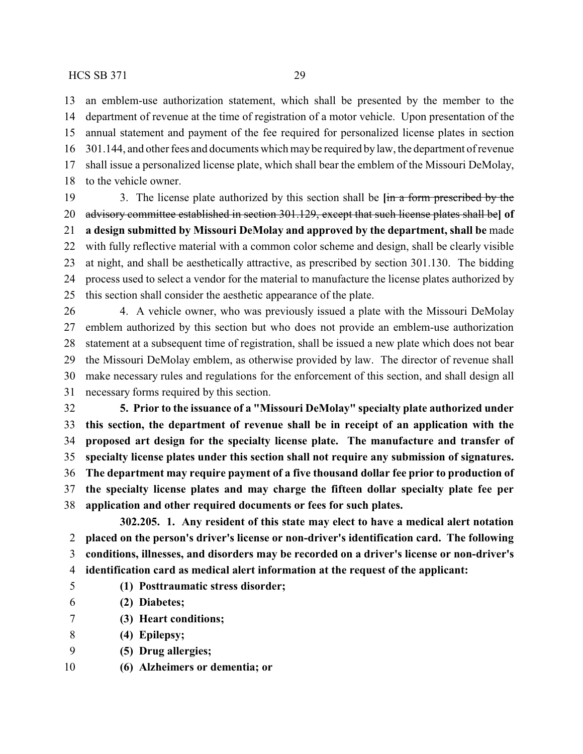an emblem-use authorization statement, which shall be presented by the member to the department of revenue at the time of registration of a motor vehicle. Upon presentation of the annual statement and payment of the fee required for personalized license plates in section 301.144, and other fees and documents which maybe required by law, the department of revenue shall issue a personalized license plate, which shall bear the emblem of the Missouri DeMolay, to the vehicle owner.

 3. The license plate authorized by this section shall be **[**in a form prescribed by the advisory committee established in section 301.129, except that such license plates shall be**] of a design submitted by Missouri DeMolay and approved by the department, shall be** made with fully reflective material with a common color scheme and design, shall be clearly visible at night, and shall be aesthetically attractive, as prescribed by section 301.130. The bidding process used to select a vendor for the material to manufacture the license plates authorized by this section shall consider the aesthetic appearance of the plate.

 4. A vehicle owner, who was previously issued a plate with the Missouri DeMolay emblem authorized by this section but who does not provide an emblem-use authorization statement at a subsequent time of registration, shall be issued a new plate which does not bear the Missouri DeMolay emblem, as otherwise provided by law. The director of revenue shall make necessary rules and regulations for the enforcement of this section, and shall design all necessary forms required by this section.

 **5. Prior to the issuance of a "Missouri DeMolay" specialty plate authorized under this section, the department of revenue shall be in receipt of an application with the proposed art design for the specialty license plate. The manufacture and transfer of specialty license plates under this section shall not require any submission of signatures. The department may require payment of a five thousand dollar fee prior to production of the specialty license plates and may charge the fifteen dollar specialty plate fee per application and other required documents or fees for such plates.**

**302.205. 1. Any resident of this state may elect to have a medical alert notation placed on the person's driver's license or non-driver's identification card. The following conditions, illnesses, and disorders may be recorded on a driver's license or non-driver's identification card as medical alert information at the request of the applicant:**

- **(1) Posttraumatic stress disorder;**
- **(2) Diabetes;**
- **(3) Heart conditions;**
- **(4) Epilepsy;**
- **(5) Drug allergies;**
- **(6) Alzheimers or dementia; or**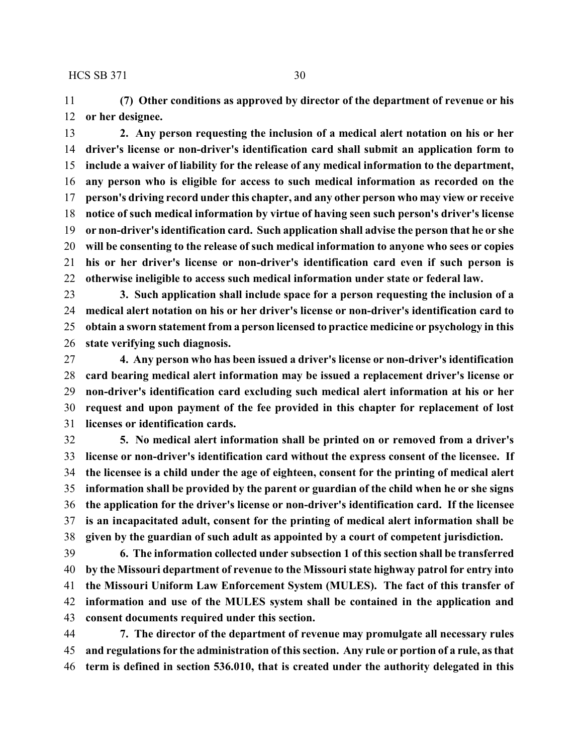**(7) Other conditions as approved by director of the department of revenue or his or her designee.**

 **2. Any person requesting the inclusion of a medical alert notation on his or her driver's license or non-driver's identification card shall submit an application form to include a waiver of liability for the release of any medical information to the department, any person who is eligible for access to such medical information as recorded on the person's driving record under this chapter, and any other person who may view or receive notice of such medical information by virtue of having seen such person's driver's license or non-driver's identification card. Such application shall advise the person that he or she will be consenting to the release of such medical information to anyone who sees or copies his or her driver's license or non-driver's identification card even if such person is otherwise ineligible to access such medical information under state or federal law.**

 **3. Such application shall include space for a person requesting the inclusion of a medical alert notation on his or her driver's license or non-driver's identification card to obtain a sworn statement from a person licensed to practice medicine or psychology in this state verifying such diagnosis.**

 **4. Any person who has been issued a driver's license or non-driver's identification card bearing medical alert information may be issued a replacement driver's license or non-driver's identification card excluding such medical alert information at his or her request and upon payment of the fee provided in this chapter for replacement of lost licenses or identification cards.**

 **5. No medical alert information shall be printed on or removed from a driver's license or non-driver's identification card without the express consent of the licensee. If the licensee is a child under the age of eighteen, consent for the printing of medical alert information shall be provided by the parent or guardian of the child when he or she signs the application for the driver's license or non-driver's identification card. If the licensee is an incapacitated adult, consent for the printing of medical alert information shall be given by the guardian of such adult as appointed by a court of competent jurisdiction.**

 **6. The information collected under subsection 1 of this section shall be transferred by the Missouri department of revenue to the Missouri state highway patrol for entry into the Missouri Uniform Law Enforcement System (MULES). The fact of this transfer of information and use of the MULES system shall be contained in the application and consent documents required under this section.**

 **7. The director of the department of revenue may promulgate all necessary rules and regulations for the administration of this section. Any rule or portion of a rule, as that term is defined in section 536.010, that is created under the authority delegated in this**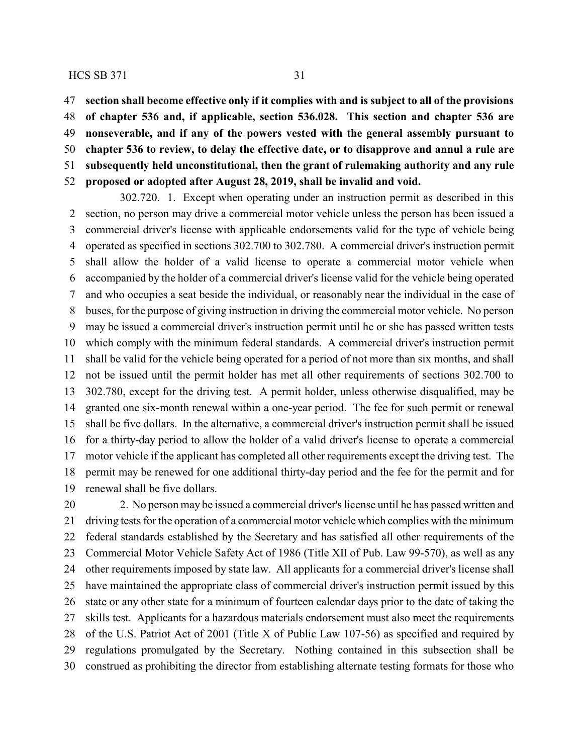**section shall become effective only if it complies with and is subject to all of the provisions of chapter 536 and, if applicable, section 536.028. This section and chapter 536 are nonseverable, and if any of the powers vested with the general assembly pursuant to chapter 536 to review, to delay the effective date, or to disapprove and annul a rule are subsequently held unconstitutional, then the grant of rulemaking authority and any rule proposed or adopted after August 28, 2019, shall be invalid and void.**

302.720. 1. Except when operating under an instruction permit as described in this section, no person may drive a commercial motor vehicle unless the person has been issued a commercial driver's license with applicable endorsements valid for the type of vehicle being operated as specified in sections 302.700 to 302.780. A commercial driver's instruction permit shall allow the holder of a valid license to operate a commercial motor vehicle when accompanied by the holder of a commercial driver's license valid for the vehicle being operated and who occupies a seat beside the individual, or reasonably near the individual in the case of buses, for the purpose of giving instruction in driving the commercial motor vehicle. No person may be issued a commercial driver's instruction permit until he or she has passed written tests which comply with the minimum federal standards. A commercial driver's instruction permit shall be valid for the vehicle being operated for a period of not more than six months, and shall not be issued until the permit holder has met all other requirements of sections 302.700 to 302.780, except for the driving test. A permit holder, unless otherwise disqualified, may be granted one six-month renewal within a one-year period. The fee for such permit or renewal shall be five dollars. In the alternative, a commercial driver's instruction permit shall be issued for a thirty-day period to allow the holder of a valid driver's license to operate a commercial motor vehicle if the applicant has completed all other requirements except the driving test. The permit may be renewed for one additional thirty-day period and the fee for the permit and for renewal shall be five dollars.

 2. No person may be issued a commercial driver's license until he has passed written and driving tests for the operation of a commercial motor vehicle which complies with the minimum federal standards established by the Secretary and has satisfied all other requirements of the Commercial Motor Vehicle Safety Act of 1986 (Title XII of Pub. Law 99-570), as well as any other requirements imposed by state law. All applicants for a commercial driver's license shall have maintained the appropriate class of commercial driver's instruction permit issued by this state or any other state for a minimum of fourteen calendar days prior to the date of taking the skills test. Applicants for a hazardous materials endorsement must also meet the requirements of the U.S. Patriot Act of 2001 (Title X of Public Law 107-56) as specified and required by regulations promulgated by the Secretary. Nothing contained in this subsection shall be construed as prohibiting the director from establishing alternate testing formats for those who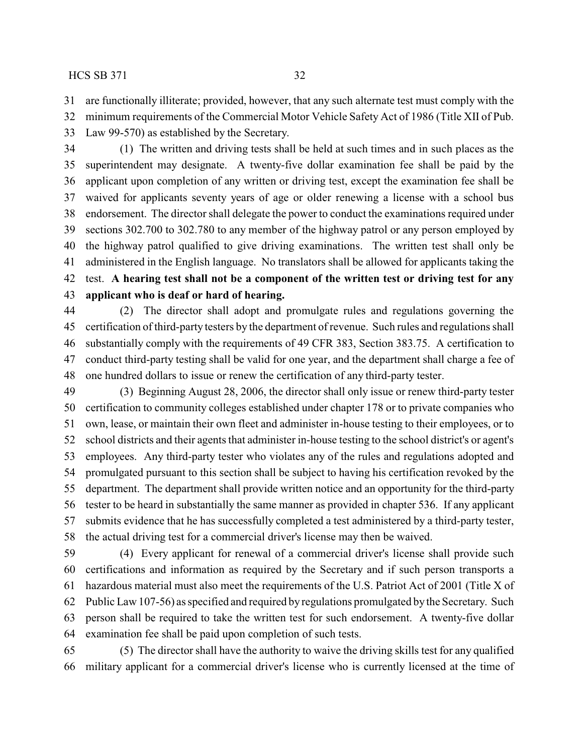are functionally illiterate; provided, however, that any such alternate test must comply with the

minimum requirements of the Commercial Motor Vehicle Safety Act of 1986 (Title XII of Pub.

Law 99-570) as established by the Secretary.

 (1) The written and driving tests shall be held at such times and in such places as the superintendent may designate. A twenty-five dollar examination fee shall be paid by the applicant upon completion of any written or driving test, except the examination fee shall be waived for applicants seventy years of age or older renewing a license with a school bus endorsement. The director shall delegate the power to conduct the examinations required under sections 302.700 to 302.780 to any member of the highway patrol or any person employed by the highway patrol qualified to give driving examinations. The written test shall only be administered in the English language. No translators shall be allowed for applicants taking the test. **A hearing test shall not be a component of the written test or driving test for any applicant who is deaf or hard of hearing.**

 (2) The director shall adopt and promulgate rules and regulations governing the certification of third-party testers by the department of revenue. Such rules and regulations shall substantially comply with the requirements of 49 CFR 383, Section 383.75. A certification to conduct third-party testing shall be valid for one year, and the department shall charge a fee of one hundred dollars to issue or renew the certification of any third-party tester.

 (3) Beginning August 28, 2006, the director shall only issue or renew third-party tester certification to community colleges established under chapter 178 or to private companies who own, lease, or maintain their own fleet and administer in-house testing to their employees, or to school districts and their agents that administer in-house testing to the school district's or agent's employees. Any third-party tester who violates any of the rules and regulations adopted and promulgated pursuant to this section shall be subject to having his certification revoked by the department. The department shall provide written notice and an opportunity for the third-party tester to be heard in substantially the same manner as provided in chapter 536. If any applicant submits evidence that he has successfully completed a test administered by a third-party tester, the actual driving test for a commercial driver's license may then be waived.

 (4) Every applicant for renewal of a commercial driver's license shall provide such certifications and information as required by the Secretary and if such person transports a hazardous material must also meet the requirements of the U.S. Patriot Act of 2001 (Title X of Public Law 107-56) as specified and required by regulations promulgated by the Secretary. Such person shall be required to take the written test for such endorsement. A twenty-five dollar examination fee shall be paid upon completion of such tests.

 (5) The director shall have the authority to waive the driving skills test for any qualified military applicant for a commercial driver's license who is currently licensed at the time of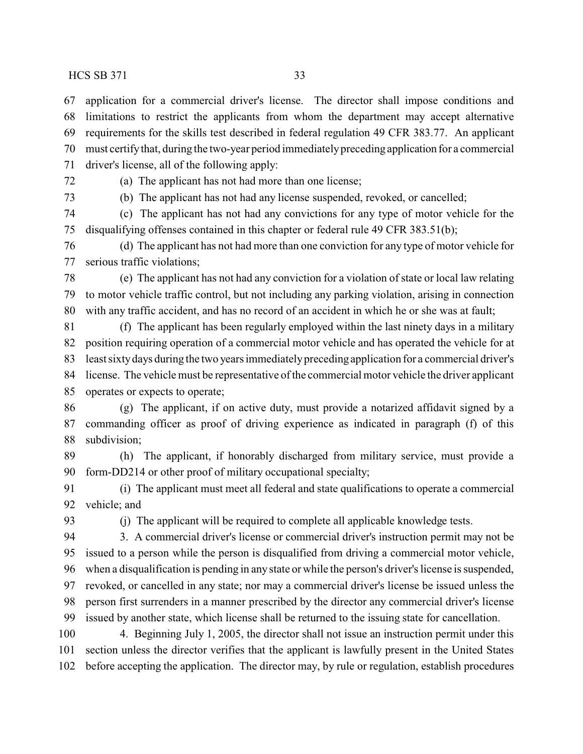application for a commercial driver's license. The director shall impose conditions and limitations to restrict the applicants from whom the department may accept alternative requirements for the skills test described in federal regulation 49 CFR 383.77. An applicant must certifythat, during the two-year period immediatelypreceding application for a commercial driver's license, all of the following apply:

(a) The applicant has not had more than one license;

(b) The applicant has not had any license suspended, revoked, or cancelled;

 (c) The applicant has not had any convictions for any type of motor vehicle for the disqualifying offenses contained in this chapter or federal rule 49 CFR 383.51(b);

 (d) The applicant has not had more than one conviction for any type of motor vehicle for serious traffic violations;

 (e) The applicant has not had any conviction for a violation of state or local law relating to motor vehicle traffic control, but not including any parking violation, arising in connection with any traffic accident, and has no record of an accident in which he or she was at fault;

 (f) The applicant has been regularly employed within the last ninety days in a military position requiring operation of a commercial motor vehicle and has operated the vehicle for at least sixtydays during the two years immediatelypreceding application for a commercial driver's license. The vehicle must be representative of the commercial motor vehicle the driver applicant operates or expects to operate;

 (g) The applicant, if on active duty, must provide a notarized affidavit signed by a commanding officer as proof of driving experience as indicated in paragraph (f) of this subdivision;

 (h) The applicant, if honorably discharged from military service, must provide a form-DD214 or other proof of military occupational specialty;

 (i) The applicant must meet all federal and state qualifications to operate a commercial vehicle; and

(j) The applicant will be required to complete all applicable knowledge tests.

 3. A commercial driver's license or commercial driver's instruction permit may not be issued to a person while the person is disqualified from driving a commercial motor vehicle, when a disqualification is pending in any state or while the person's driver's license is suspended, revoked, or cancelled in any state; nor may a commercial driver's license be issued unless the person first surrenders in a manner prescribed by the director any commercial driver's license issued by another state, which license shall be returned to the issuing state for cancellation.

 4. Beginning July 1, 2005, the director shall not issue an instruction permit under this section unless the director verifies that the applicant is lawfully present in the United States before accepting the application. The director may, by rule or regulation, establish procedures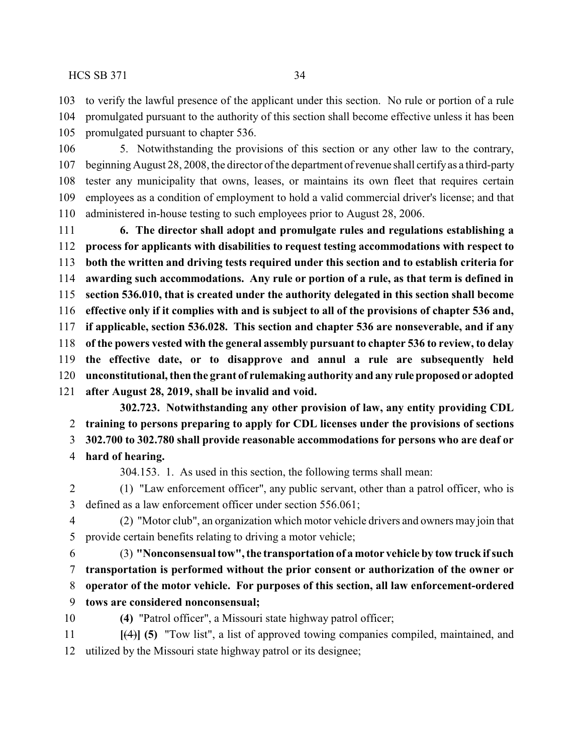to verify the lawful presence of the applicant under this section. No rule or portion of a rule promulgated pursuant to the authority of this section shall become effective unless it has been

promulgated pursuant to chapter 536.

 5. Notwithstanding the provisions of this section or any other law to the contrary, beginning August 28, 2008, the director of the department of revenue shall certifyas a third-party tester any municipality that owns, leases, or maintains its own fleet that requires certain employees as a condition of employment to hold a valid commercial driver's license; and that administered in-house testing to such employees prior to August 28, 2006.

 **6. The director shall adopt and promulgate rules and regulations establishing a process for applicants with disabilities to request testing accommodations with respect to both the written and driving tests required under this section and to establish criteria for awarding such accommodations. Any rule or portion of a rule, as that term is defined in section 536.010, that is created under the authority delegated in this section shall become effective only if it complies with and is subject to all of the provisions of chapter 536 and, if applicable, section 536.028. This section and chapter 536 are nonseverable, and if any of the powers vested with the general assembly pursuant to chapter 536 to review, to delay the effective date, or to disapprove and annul a rule are subsequently held unconstitutional, then the grant of rulemaking authority and any ruleproposed or adopted after August 28, 2019, shall be invalid and void.**

**302.723. Notwithstanding any other provision of law, any entity providing CDL training to persons preparing to apply for CDL licenses under the provisions of sections**

**302.700 to 302.780 shall provide reasonable accommodations for persons who are deaf or**

**hard of hearing.**

304.153. 1. As used in this section, the following terms shall mean:

 (1) "Law enforcement officer", any public servant, other than a patrol officer, who is defined as a law enforcement officer under section 556.061;

 (2) "Motor club", an organization which motor vehicle drivers and owners may join that provide certain benefits relating to driving a motor vehicle;

 (3) **"Nonconsensual tow", the transportation of a motor vehicle by tow truck ifsuch transportation is performed without the prior consent or authorization of the owner or operator of the motor vehicle. For purposes of this section, all law enforcement-ordered**

**tows are considered nonconsensual;**

**(4)** "Patrol officer", a Missouri state highway patrol officer;

 **[**(4)**] (5)** "Tow list", a list of approved towing companies compiled, maintained, and utilized by the Missouri state highway patrol or its designee;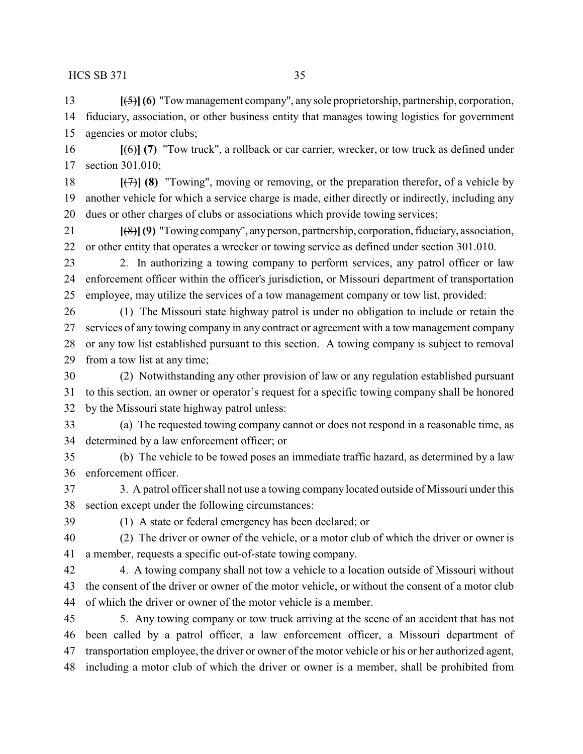**[**(5)**](6)** "Towmanagement company", anysole proprietorship, partnership, corporation, fiduciary, association, or other business entity that manages towing logistics for government agencies or motor clubs;

 **[**(6)**] (7)** "Tow truck", a rollback or car carrier, wrecker, or tow truck as defined under section 301.010;

 **[**(7)**] (8)** "Towing", moving or removing, or the preparation therefor, of a vehicle by another vehicle for which a service charge is made, either directly or indirectly, including any dues or other charges of clubs or associations which provide towing services;

 **[**(8)**](9)** "Towing company", anyperson, partnership, corporation, fiduciary, association, or other entity that operates a wrecker or towing service as defined under section 301.010.

 2. In authorizing a towing company to perform services, any patrol officer or law enforcement officer within the officer's jurisdiction, or Missouri department of transportation employee, may utilize the services of a tow management company or tow list, provided:

 (1) The Missouri state highway patrol is under no obligation to include or retain the services of any towing company in any contract or agreement with a tow management company or any tow list established pursuant to this section. A towing company is subject to removal from a tow list at any time;

 (2) Notwithstanding any other provision of law or any regulation established pursuant to this section, an owner or operator's request for a specific towing company shall be honored by the Missouri state highway patrol unless:

 (a) The requested towing company cannot or does not respond in a reasonable time, as determined by a law enforcement officer; or

 (b) The vehicle to be towed poses an immediate traffic hazard, as determined by a law enforcement officer.

 3. A patrol officer shall not use a towing company located outside of Missouri under this section except under the following circumstances:

(1) A state or federal emergency has been declared; or

 (2) The driver or owner of the vehicle, or a motor club of which the driver or owner is a member, requests a specific out-of-state towing company.

 4. A towing company shall not tow a vehicle to a location outside of Missouri without the consent of the driver or owner of the motor vehicle, or without the consent of a motor club of which the driver or owner of the motor vehicle is a member.

 5. Any towing company or tow truck arriving at the scene of an accident that has not been called by a patrol officer, a law enforcement officer, a Missouri department of transportation employee, the driver or owner of the motor vehicle or his or her authorized agent, including a motor club of which the driver or owner is a member, shall be prohibited from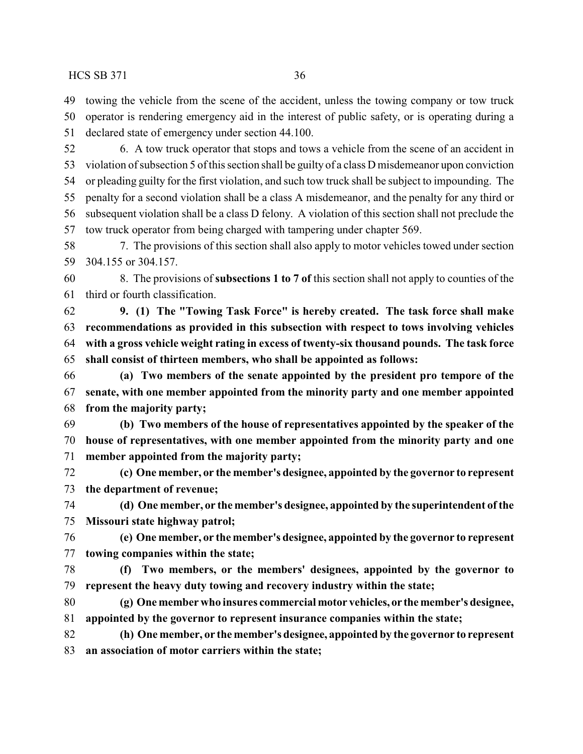towing the vehicle from the scene of the accident, unless the towing company or tow truck operator is rendering emergency aid in the interest of public safety, or is operating during a

declared state of emergency under section 44.100.

 6. A tow truck operator that stops and tows a vehicle from the scene of an accident in violation of subsection 5 of this section shall be guilty of a class D misdemeanor upon conviction or pleading guilty for the first violation, and such tow truck shall be subject to impounding. The penalty for a second violation shall be a class A misdemeanor, and the penalty for any third or subsequent violation shall be a class D felony. A violation of this section shall not preclude the tow truck operator from being charged with tampering under chapter 569.

 7. The provisions of this section shall also apply to motor vehicles towed under section 304.155 or 304.157.

 8. The provisions of **subsections 1 to 7 of** this section shall not apply to counties of the third or fourth classification.

 **9. (1) The "Towing Task Force" is hereby created. The task force shall make recommendations as provided in this subsection with respect to tows involving vehicles with a gross vehicle weight rating in excess of twenty-six thousand pounds. The task force shall consist of thirteen members, who shall be appointed as follows:**

 **(a) Two members of the senate appointed by the president pro tempore of the senate, with one member appointed from the minority party and one member appointed from the majority party;**

 **(b) Two members of the house of representatives appointed by the speaker of the house of representatives, with one member appointed from the minority party and one member appointed from the majority party;**

 **(c) One member, or the member's designee, appointed by the governor to represent the department of revenue;**

 **(d) One member, or the member's designee, appointed by the superintendent of the Missouri state highway patrol;**

 **(e) One member, or the member's designee, appointed by the governor to represent towing companies within the state;**

 **(f) Two members, or the members' designees, appointed by the governor to represent the heavy duty towing and recovery industry within the state;**

 **(g) One member who insures commercial motor vehicles, or the member's designee, appointed by the governor to represent insurance companies within the state;**

 **(h) One member, or the member's designee, appointed by the governor to represent an association of motor carriers within the state;**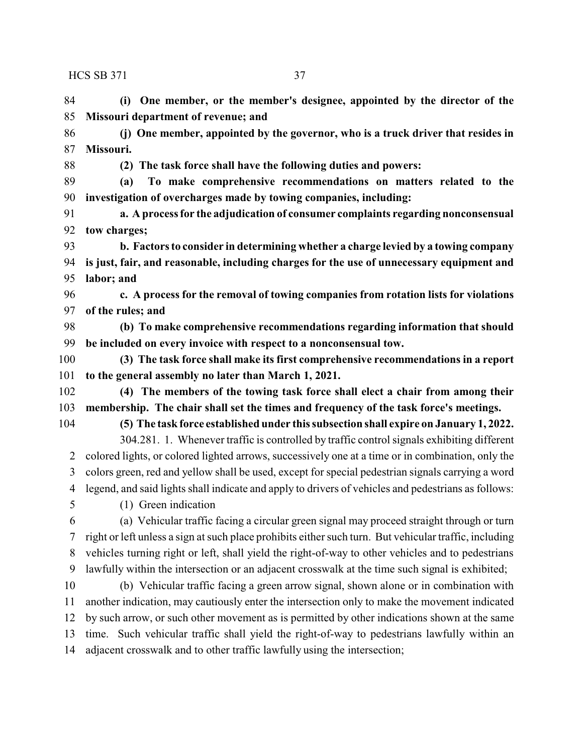**(i) One member, or the member's designee, appointed by the director of the Missouri department of revenue; and**

 **(j) One member, appointed by the governor, who is a truck driver that resides in Missouri.**

**(2) The task force shall have the following duties and powers:**

 **(a) To make comprehensive recommendations on matters related to the investigation of overcharges made by towing companies, including:**

 **a. A process for the adjudication of consumer complaints regarding nonconsensual tow charges;**

 **b. Factors to consider in determining whether a charge levied by a towing company is just, fair, and reasonable, including charges for the use of unnecessary equipment and labor; and**

 **c. A process for the removal of towing companies from rotation lists for violations of the rules; and**

 **(b) To make comprehensive recommendations regarding information that should be included on every invoice with respect to a nonconsensual tow.**

 **(3) The task force shall make its first comprehensive recommendations in a report to the general assembly no later than March 1, 2021.**

 **(4) The members of the towing task force shall elect a chair from among their membership. The chair shall set the times and frequency of the task force's meetings.**

**(5) The task force established under this subsection shall expire on January 1, 2022.**

304.281. 1. Whenever traffic is controlled by traffic control signals exhibiting different colored lights, or colored lighted arrows, successively one at a time or in combination, only the colors green, red and yellow shall be used, except for special pedestrian signals carrying a word legend, and said lights shall indicate and apply to drivers of vehicles and pedestrians as follows:

(1) Green indication

 (a) Vehicular traffic facing a circular green signal may proceed straight through or turn right or left unless a sign at such place prohibits either such turn. But vehicular traffic, including vehicles turning right or left, shall yield the right-of-way to other vehicles and to pedestrians lawfully within the intersection or an adjacent crosswalk at the time such signal is exhibited;

 (b) Vehicular traffic facing a green arrow signal, shown alone or in combination with another indication, may cautiously enter the intersection only to make the movement indicated by such arrow, or such other movement as is permitted by other indications shown at the same time. Such vehicular traffic shall yield the right-of-way to pedestrians lawfully within an adjacent crosswalk and to other traffic lawfully using the intersection;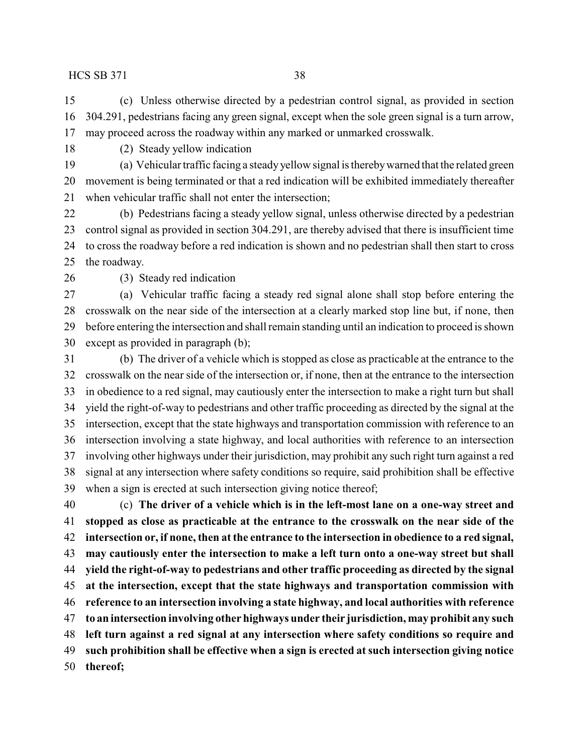(c) Unless otherwise directed by a pedestrian control signal, as provided in section 304.291, pedestrians facing any green signal, except when the sole green signal is a turn arrow, may proceed across the roadway within any marked or unmarked crosswalk.

(2) Steady yellow indication

 (a) Vehicular traffic facing a steady yellow signal is therebywarned that the related green movement is being terminated or that a red indication will be exhibited immediately thereafter when vehicular traffic shall not enter the intersection;

 (b) Pedestrians facing a steady yellow signal, unless otherwise directed by a pedestrian control signal as provided in section 304.291, are thereby advised that there is insufficient time to cross the roadway before a red indication is shown and no pedestrian shall then start to cross the roadway.

(3) Steady red indication

 (a) Vehicular traffic facing a steady red signal alone shall stop before entering the crosswalk on the near side of the intersection at a clearly marked stop line but, if none, then before entering the intersection and shall remain standing until an indication to proceed is shown except as provided in paragraph (b);

 (b) The driver of a vehicle which is stopped as close as practicable at the entrance to the crosswalk on the near side of the intersection or, if none, then at the entrance to the intersection in obedience to a red signal, may cautiously enter the intersection to make a right turn but shall yield the right-of-way to pedestrians and other traffic proceeding as directed by the signal at the intersection, except that the state highways and transportation commission with reference to an intersection involving a state highway, and local authorities with reference to an intersection involving other highways under their jurisdiction, may prohibit any such right turn against a red signal at any intersection where safety conditions so require, said prohibition shall be effective when a sign is erected at such intersection giving notice thereof;

 (c) **The driver of a vehicle which is in the left-most lane on a one-way street and stopped as close as practicable at the entrance to the crosswalk on the near side of the intersection or, if none, then at the entrance to the intersection in obedience to a red signal, may cautiously enter the intersection to make a left turn onto a one-way street but shall yield the right-of-way to pedestrians and other traffic proceeding as directed by the signal at the intersection, except that the state highways and transportation commission with reference to an intersection involving a state highway, and local authorities with reference to an intersection involving other highways under their jurisdiction, may prohibit any such left turn against a red signal at any intersection where safety conditions so require and such prohibition shall be effective when a sign is erected at such intersection giving notice thereof;**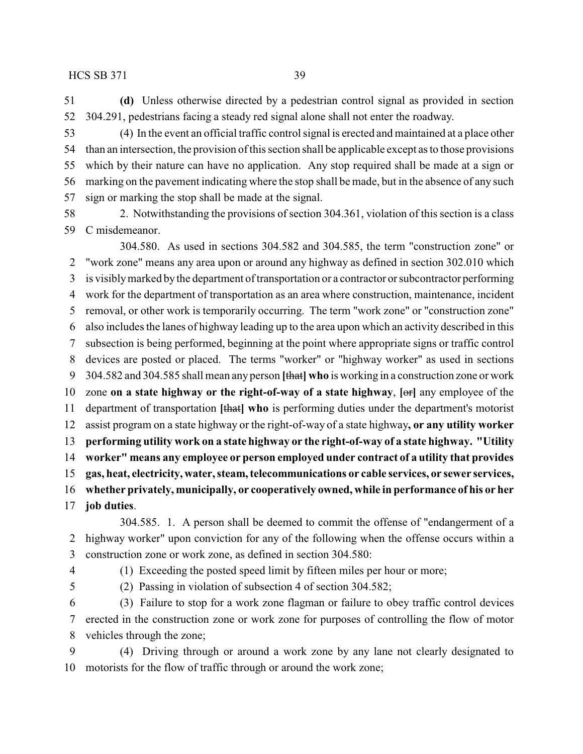**(d)** Unless otherwise directed by a pedestrian control signal as provided in section 304.291, pedestrians facing a steady red signal alone shall not enter the roadway.

 (4) In the event an official traffic control signal is erected and maintained at a place other than an intersection, the provision of this section shall be applicable except as to those provisions which by their nature can have no application. Any stop required shall be made at a sign or marking on the pavement indicating where the stop shall be made, but in the absence of any such sign or marking the stop shall be made at the signal.

58 2. Notwithstanding the provisions of section 304.361, violation of this section is a class C misdemeanor.

304.580. As used in sections 304.582 and 304.585, the term "construction zone" or "work zone" means any area upon or around any highway as defined in section 302.010 which is visiblymarked by the department of transportation or a contractor or subcontractor performing work for the department of transportation as an area where construction, maintenance, incident removal, or other work is temporarily occurring. The term "work zone" or "construction zone" also includes the lanes of highway leading up to the area upon which an activity described in this subsection is being performed, beginning at the point where appropriate signs or traffic control devices are posted or placed. The terms "worker" or "highway worker" as used in sections 304.582 and 304.585 shall mean any person **[**that**] who** is working in a construction zone or work zone **on a state highway or the right-of-way of a state highway**, **[**or**]** any employee of the department of transportation **[**that**] who** is performing duties under the department's motorist assist program on a state highway or the right-of-way of a state highway**, or any utility worker performing utility work on a state highway or the right-of-way of a state highway. "Utility worker" means any employee or person employed under contract of a utility that provides gas, heat, electricity, water, steam, telecommunications or cable services, or sewer services, whether privately, municipally, or cooperatively owned, while in performance of his or her job duties**.

304.585. 1. A person shall be deemed to commit the offense of "endangerment of a highway worker" upon conviction for any of the following when the offense occurs within a construction zone or work zone, as defined in section 304.580:

(1) Exceeding the posted speed limit by fifteen miles per hour or more;

(2) Passing in violation of subsection 4 of section 304.582;

 (3) Failure to stop for a work zone flagman or failure to obey traffic control devices erected in the construction zone or work zone for purposes of controlling the flow of motor vehicles through the zone;

 (4) Driving through or around a work zone by any lane not clearly designated to motorists for the flow of traffic through or around the work zone;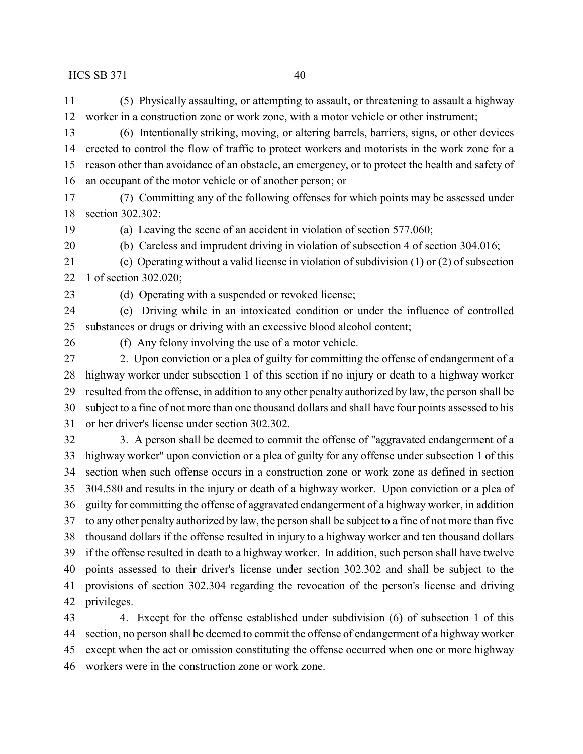(5) Physically assaulting, or attempting to assault, or threatening to assault a highway worker in a construction zone or work zone, with a motor vehicle or other instrument;

 (6) Intentionally striking, moving, or altering barrels, barriers, signs, or other devices erected to control the flow of traffic to protect workers and motorists in the work zone for a reason other than avoidance of an obstacle, an emergency, or to protect the health and safety of an occupant of the motor vehicle or of another person; or

 (7) Committing any of the following offenses for which points may be assessed under section 302.302:

(a) Leaving the scene of an accident in violation of section 577.060;

(b) Careless and imprudent driving in violation of subsection 4 of section 304.016;

 (c) Operating without a valid license in violation of subdivision (1) or (2) of subsection 1 of section 302.020;

(d) Operating with a suspended or revoked license;

 (e) Driving while in an intoxicated condition or under the influence of controlled substances or drugs or driving with an excessive blood alcohol content;

(f) Any felony involving the use of a motor vehicle.

 2. Upon conviction or a plea of guilty for committing the offense of endangerment of a highway worker under subsection 1 of this section if no injury or death to a highway worker resulted from the offense, in addition to any other penalty authorized by law, the person shall be subject to a fine of not more than one thousand dollars and shall have four points assessed to his or her driver's license under section 302.302.

 3. A person shall be deemed to commit the offense of "aggravated endangerment of a highway worker" upon conviction or a plea of guilty for any offense under subsection 1 of this section when such offense occurs in a construction zone or work zone as defined in section 304.580 and results in the injury or death of a highway worker. Upon conviction or a plea of guilty for committing the offense of aggravated endangerment of a highway worker, in addition to any other penalty authorized by law, the person shall be subject to a fine of not more than five thousand dollars if the offense resulted in injury to a highway worker and ten thousand dollars if the offense resulted in death to a highway worker. In addition, such person shall have twelve points assessed to their driver's license under section 302.302 and shall be subject to the provisions of section 302.304 regarding the revocation of the person's license and driving privileges.

 4. Except for the offense established under subdivision (6) of subsection 1 of this section, no person shall be deemed to commit the offense of endangerment of a highway worker except when the act or omission constituting the offense occurred when one or more highway workers were in the construction zone or work zone.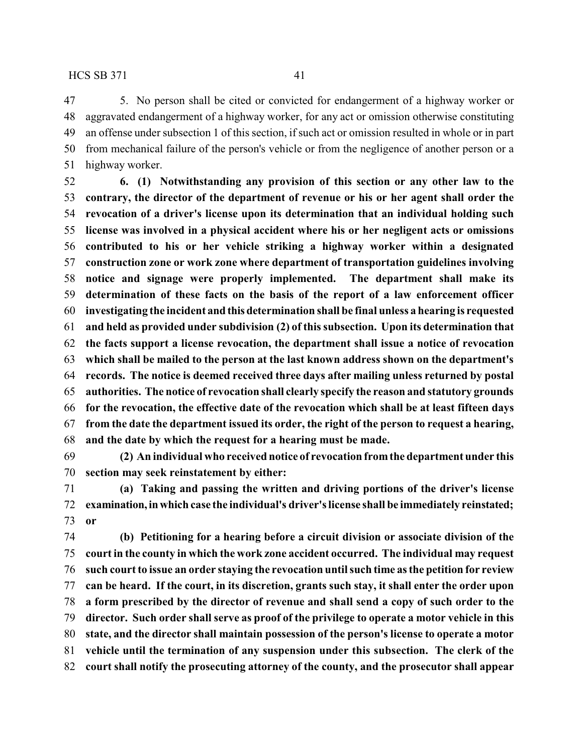5. No person shall be cited or convicted for endangerment of a highway worker or aggravated endangerment of a highway worker, for any act or omission otherwise constituting an offense under subsection 1 of this section, if such act or omission resulted in whole or in part from mechanical failure of the person's vehicle or from the negligence of another person or a highway worker.

 **6. (1) Notwithstanding any provision of this section or any other law to the contrary, the director of the department of revenue or his or her agent shall order the revocation of a driver's license upon its determination that an individual holding such license was involved in a physical accident where his or her negligent acts or omissions contributed to his or her vehicle striking a highway worker within a designated construction zone or work zone where department of transportation guidelines involving notice and signage were properly implemented. The department shall make its determination of these facts on the basis of the report of a law enforcement officer investigating the incident and thisdetermination shall be final unless a hearing is requested and held as provided under subdivision (2) of this subsection. Upon its determination that the facts support a license revocation, the department shall issue a notice of revocation which shall be mailed to the person at the last known address shown on the department's records. The notice is deemed received three days after mailing unless returned by postal authorities. The notice of revocation shall clearly specify the reason and statutory grounds for the revocation, the effective date of the revocation which shall be at least fifteen days from the date the department issued its order, the right of the person to request a hearing, and the date by which the request for a hearing must be made.**

 **(2) An individual who received notice of revocation fromthe department under this section may seek reinstatement by either:**

 **(a) Taking and passing the written and driving portions of the driver's license examination,inwhich case the individual's driver's license shall be immediately reinstated; or**

 **(b) Petitioning for a hearing before a circuit division or associate division of the court in the county in which the work zone accident occurred. The individual may request such court to issue an order staying the revocation until such time as the petition for review can be heard. If the court, in its discretion, grants such stay, it shall enter the order upon a form prescribed by the director of revenue and shall send a copy of such order to the director. Such order shall serve as proof of the privilege to operate a motor vehicle in this state, and the director shall maintain possession of the person's license to operate a motor vehicle until the termination of any suspension under this subsection. The clerk of the court shall notify the prosecuting attorney of the county, and the prosecutor shall appear**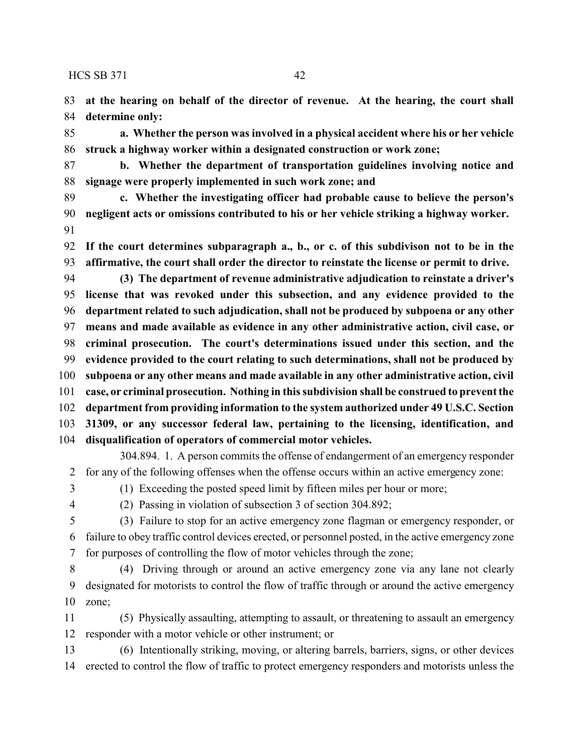**at the hearing on behalf of the director of revenue. At the hearing, the court shall determine only:**

 **a. Whether the person was involved in a physical accident where his or her vehicle struck a highway worker within a designated construction or work zone;**

 **b. Whether the department of transportation guidelines involving notice and signage were properly implemented in such work zone; and**

 **c. Whether the investigating officer had probable cause to believe the person's negligent acts or omissions contributed to his or her vehicle striking a highway worker.** 

 **If the court determines subparagraph a., b., or c. of this subdivison not to be in the affirmative, the court shall order the director to reinstate the license or permit to drive.**

 **(3) The department of revenue administrative adjudication to reinstate a driver's license that was revoked under this subsection, and any evidence provided to the department related to such adjudication, shall not be produced by subpoena or any other means and made available as evidence in any other administrative action, civil case, or criminal prosecution. The court's determinations issued under this section, and the evidence provided to the court relating to such determinations, shall not be produced by subpoena or any other means and made available in any other administrative action, civil case, or criminal prosecution. Nothing in this subdivision shall be construed to prevent the department from providing information to the system authorized under 49 U.S.C. Section 31309, or any successor federal law, pertaining to the licensing, identification, and disqualification of operators of commercial motor vehicles.**

304.894. 1. A person commits the offense of endangerment of an emergency responder for any of the following offenses when the offense occurs within an active emergency zone:

(1) Exceeding the posted speed limit by fifteen miles per hour or more;

(2) Passing in violation of subsection 3 of section 304.892;

 (3) Failure to stop for an active emergency zone flagman or emergency responder, or failure to obey traffic control devices erected, or personnel posted, in the active emergency zone for purposes of controlling the flow of motor vehicles through the zone;

 (4) Driving through or around an active emergency zone via any lane not clearly designated for motorists to control the flow of traffic through or around the active emergency zone;

 (5) Physically assaulting, attempting to assault, or threatening to assault an emergency responder with a motor vehicle or other instrument; or

 (6) Intentionally striking, moving, or altering barrels, barriers, signs, or other devices erected to control the flow of traffic to protect emergency responders and motorists unless the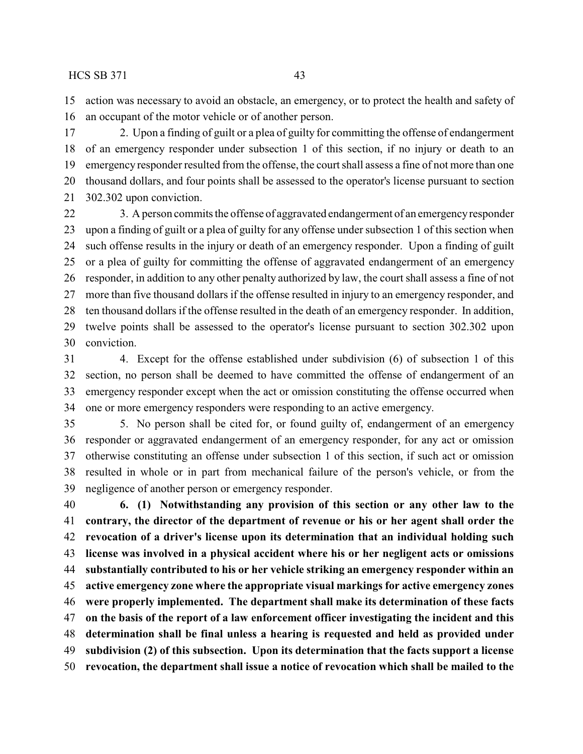action was necessary to avoid an obstacle, an emergency, or to protect the health and safety of an occupant of the motor vehicle or of another person.

 2. Upon a finding of guilt or a plea of guilty for committing the offense of endangerment of an emergency responder under subsection 1 of this section, if no injury or death to an emergency responder resulted from the offense, the court shall assess a fine of not more than one thousand dollars, and four points shall be assessed to the operator's license pursuant to section 302.302 upon conviction.

22 3. A person commits the offense of aggravated endangerment of an emergency responder upon a finding of guilt or a plea of guilty for any offense under subsection 1 of this section when such offense results in the injury or death of an emergency responder. Upon a finding of guilt or a plea of guilty for committing the offense of aggravated endangerment of an emergency responder, in addition to any other penalty authorized by law, the court shall assess a fine of not more than five thousand dollars if the offense resulted in injury to an emergency responder, and ten thousand dollars if the offense resulted in the death of an emergency responder. In addition, twelve points shall be assessed to the operator's license pursuant to section 302.302 upon conviction.

 4. Except for the offense established under subdivision (6) of subsection 1 of this section, no person shall be deemed to have committed the offense of endangerment of an emergency responder except when the act or omission constituting the offense occurred when one or more emergency responders were responding to an active emergency.

 5. No person shall be cited for, or found guilty of, endangerment of an emergency responder or aggravated endangerment of an emergency responder, for any act or omission otherwise constituting an offense under subsection 1 of this section, if such act or omission resulted in whole or in part from mechanical failure of the person's vehicle, or from the negligence of another person or emergency responder.

 **6. (1) Notwithstanding any provision of this section or any other law to the contrary, the director of the department of revenue or his or her agent shall order the revocation of a driver's license upon its determination that an individual holding such license was involved in a physical accident where his or her negligent acts or omissions substantially contributed to his or her vehicle striking an emergency responder within an active emergency zone where the appropriate visual markings for active emergency zones were properly implemented. The department shall make its determination of these facts on the basis of the report of a law enforcement officer investigating the incident and this determination shall be final unless a hearing is requested and held as provided under subdivision (2) of this subsection. Upon its determination that the facts support a license revocation, the department shall issue a notice of revocation which shall be mailed to the**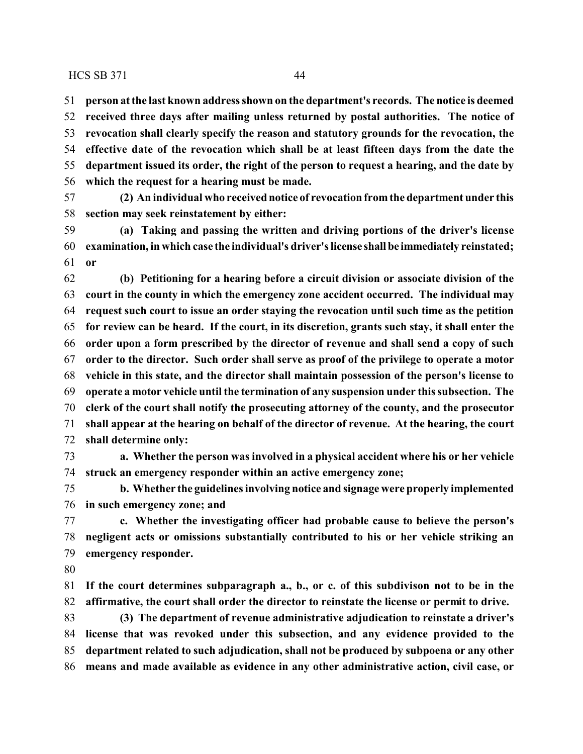**person at the last known address shown on the department's records. The notice is deemed received three days after mailing unless returned by postal authorities. The notice of revocation shall clearly specify the reason and statutory grounds for the revocation, the effective date of the revocation which shall be at least fifteen days from the date the department issued its order, the right of the person to request a hearing, and the date by which the request for a hearing must be made.**

 **(2) An individual who received notice of revocation fromthe department under this section may seek reinstatement by either:**

 **(a) Taking and passing the written and driving portions of the driver's license examination, in which case the individual's driver's license shall be immediately reinstated; or**

 **(b) Petitioning for a hearing before a circuit division or associate division of the court in the county in which the emergency zone accident occurred. The individual may request such court to issue an order staying the revocation until such time as the petition for review can be heard. If the court, in its discretion, grants such stay, it shall enter the order upon a form prescribed by the director of revenue and shall send a copy of such order to the director. Such order shall serve as proof of the privilege to operate a motor vehicle in this state, and the director shall maintain possession of the person's license to operate a motor vehicle until the termination of any suspension under this subsection. The clerk of the court shall notify the prosecuting attorney of the county, and the prosecutor shall appear at the hearing on behalf of the director of revenue. At the hearing, the court shall determine only:**

 **a. Whether the person was involved in a physical accident where his or her vehicle struck an emergency responder within an active emergency zone;**

 **b. Whether the guidelines involving notice and signage were properly implemented in such emergency zone; and**

 **c. Whether the investigating officer had probable cause to believe the person's negligent acts or omissions substantially contributed to his or her vehicle striking an emergency responder.**

 **If the court determines subparagraph a., b., or c. of this subdivison not to be in the affirmative, the court shall order the director to reinstate the license or permit to drive.**

 **(3) The department of revenue administrative adjudication to reinstate a driver's license that was revoked under this subsection, and any evidence provided to the department related to such adjudication, shall not be produced by subpoena or any other means and made available as evidence in any other administrative action, civil case, or**